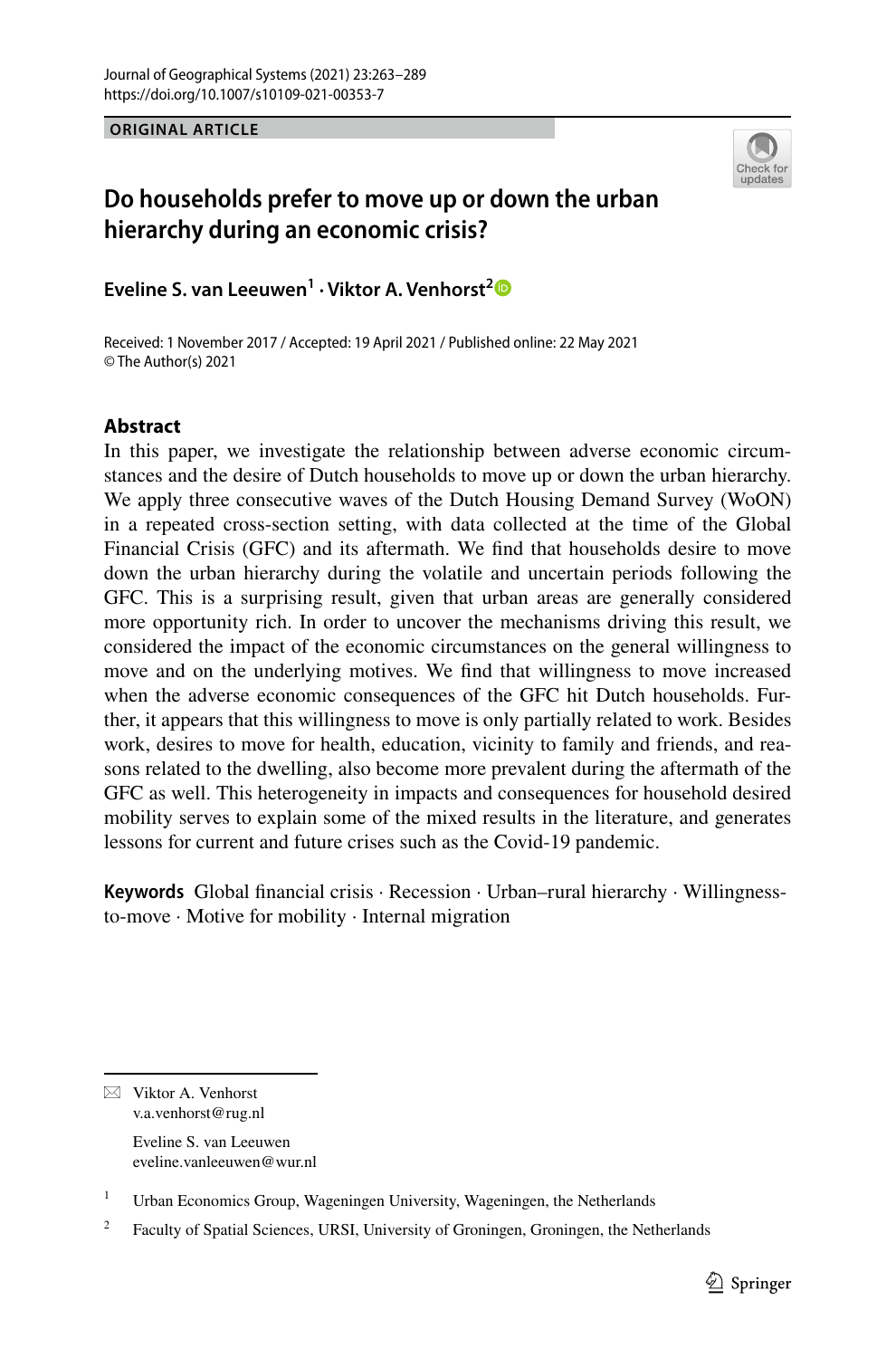**ORIGINAL ARTICLE**



# **Do households prefer to move up or down the urban hierarchy during an economic crisis?**

**Eveline S. van Leeuwen1 · Viktor A. Venhorst[2](http://orcid.org/0000-0002-8138-2105)**

Received: 1 November 2017 / Accepted: 19 April 2021 / Published online: 22 May 2021 © The Author(s) 2021

# **Abstract**

In this paper, we investigate the relationship between adverse economic circumstances and the desire of Dutch households to move up or down the urban hierarchy. We apply three consecutive waves of the Dutch Housing Demand Survey (WoON) in a repeated cross-section setting, with data collected at the time of the Global Financial Crisis (GFC) and its aftermath. We fnd that households desire to move down the urban hierarchy during the volatile and uncertain periods following the GFC. This is a surprising result, given that urban areas are generally considered more opportunity rich. In order to uncover the mechanisms driving this result, we considered the impact of the economic circumstances on the general willingness to move and on the underlying motives. We fnd that willingness to move increased when the adverse economic consequences of the GFC hit Dutch households. Further, it appears that this willingness to move is only partially related to work. Besides work, desires to move for health, education, vicinity to family and friends, and reasons related to the dwelling, also become more prevalent during the aftermath of the GFC as well. This heterogeneity in impacts and consequences for household desired mobility serves to explain some of the mixed results in the literature, and generates lessons for current and future crises such as the Covid-19 pandemic.

**Keywords** Global fnancial crisis · Recession · Urban–rural hierarchy · Willingnessto-move · Motive for mobility · Internal migration

 $\boxtimes$  Viktor A. Venhorst v.a.venhorst@rug.nl Eveline S. van Leeuwen

eveline.vanleeuwen@wur.nl

<sup>&</sup>lt;sup>1</sup> Urban Economics Group, Wageningen University, Wageningen, the Netherlands

 $2^2$  Faculty of Spatial Sciences, URSI, University of Groningen, Groningen, the Netherlands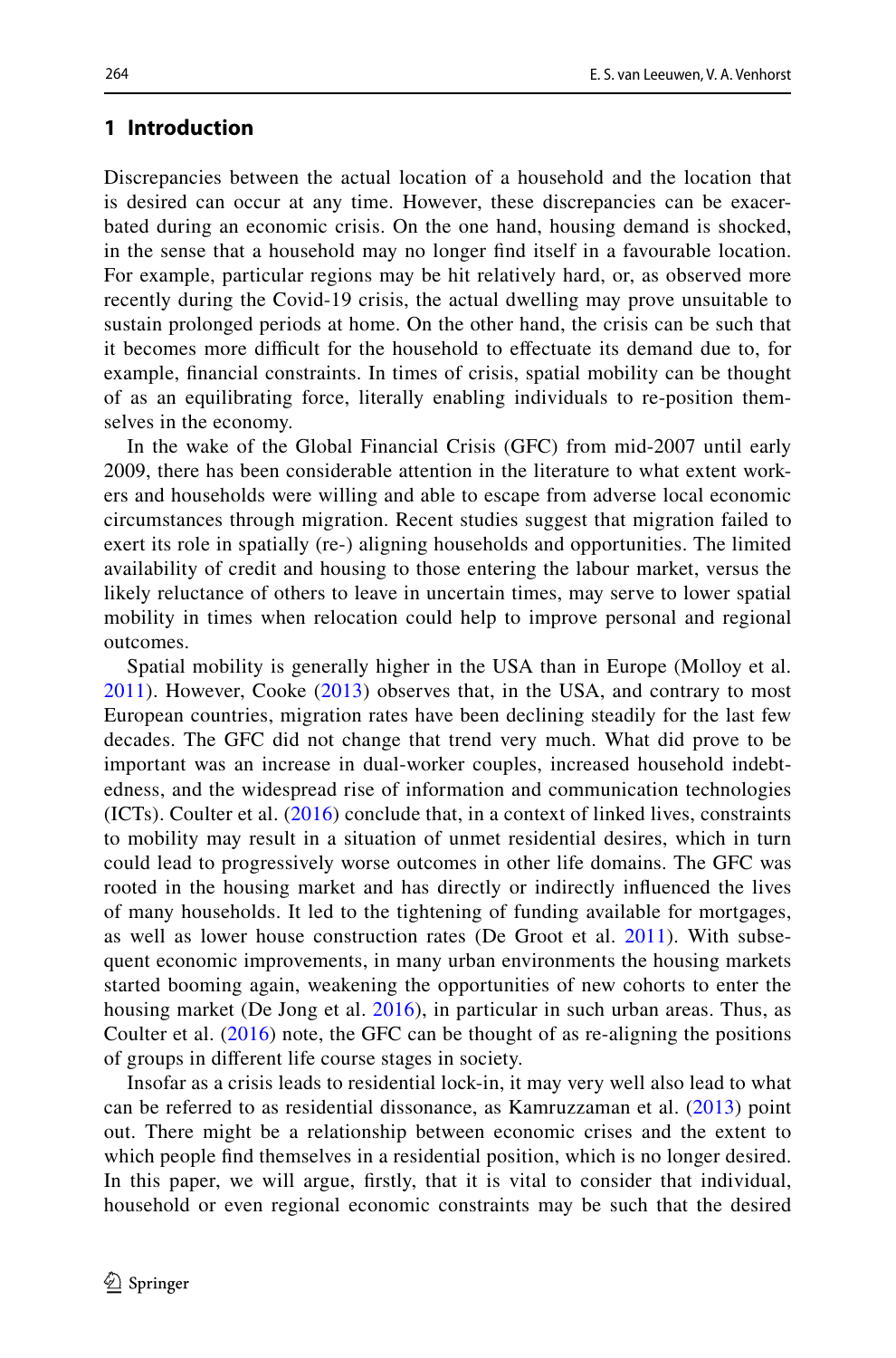### **1 Introduction**

Discrepancies between the actual location of a household and the location that is desired can occur at any time. However, these discrepancies can be exacerbated during an economic crisis. On the one hand, housing demand is shocked, in the sense that a household may no longer fnd itself in a favourable location. For example, particular regions may be hit relatively hard, or, as observed more recently during the Covid-19 crisis, the actual dwelling may prove unsuitable to sustain prolonged periods at home. On the other hand, the crisis can be such that it becomes more difcult for the household to efectuate its demand due to, for example, fnancial constraints. In times of crisis, spatial mobility can be thought of as an equilibrating force, literally enabling individuals to re-position themselves in the economy.

In the wake of the Global Financial Crisis (GFC) from mid-2007 until early 2009, there has been considerable attention in the literature to what extent workers and households were willing and able to escape from adverse local economic circumstances through migration. Recent studies suggest that migration failed to exert its role in spatially (re-) aligning households and opportunities. The limited availability of credit and housing to those entering the labour market, versus the likely reluctance of others to leave in uncertain times, may serve to lower spatial mobility in times when relocation could help to improve personal and regional outcomes.

Spatial mobility is generally higher in the USA than in Europe (Molloy et al. [2011\)](#page-26-0). However, Cooke ([2013](#page-25-0)) observes that, in the USA, and contrary to most European countries, migration rates have been declining steadily for the last few decades. The GFC did not change that trend very much. What did prove to be important was an increase in dual-worker couples, increased household indebtedness, and the widespread rise of information and communication technologies (ICTs). Coulter et al. ([2016](#page-25-1)) conclude that, in a context of linked lives, constraints to mobility may result in a situation of unmet residential desires, which in turn could lead to progressively worse outcomes in other life domains. The GFC was rooted in the housing market and has directly or indirectly infuenced the lives of many households. It led to the tightening of funding available for mortgages, as well as lower house construction rates (De Groot et al. [2011](#page-26-1)). With subsequent economic improvements, in many urban environments the housing markets started booming again, weakening the opportunities of new cohorts to enter the housing market (De Jong et al. [2016\)](#page-26-2), in particular in such urban areas. Thus, as Coulter et al. ([2016](#page-25-1)) note, the GFC can be thought of as re-aligning the positions of groups in diferent life course stages in society.

Insofar as a crisis leads to residential lock-in, it may very well also lead to what can be referred to as residential dissonance, as Kamruzzaman et al. ([2013\)](#page-26-3) point out. There might be a relationship between economic crises and the extent to which people fnd themselves in a residential position, which is no longer desired. In this paper, we will argue, frstly, that it is vital to consider that individual, household or even regional economic constraints may be such that the desired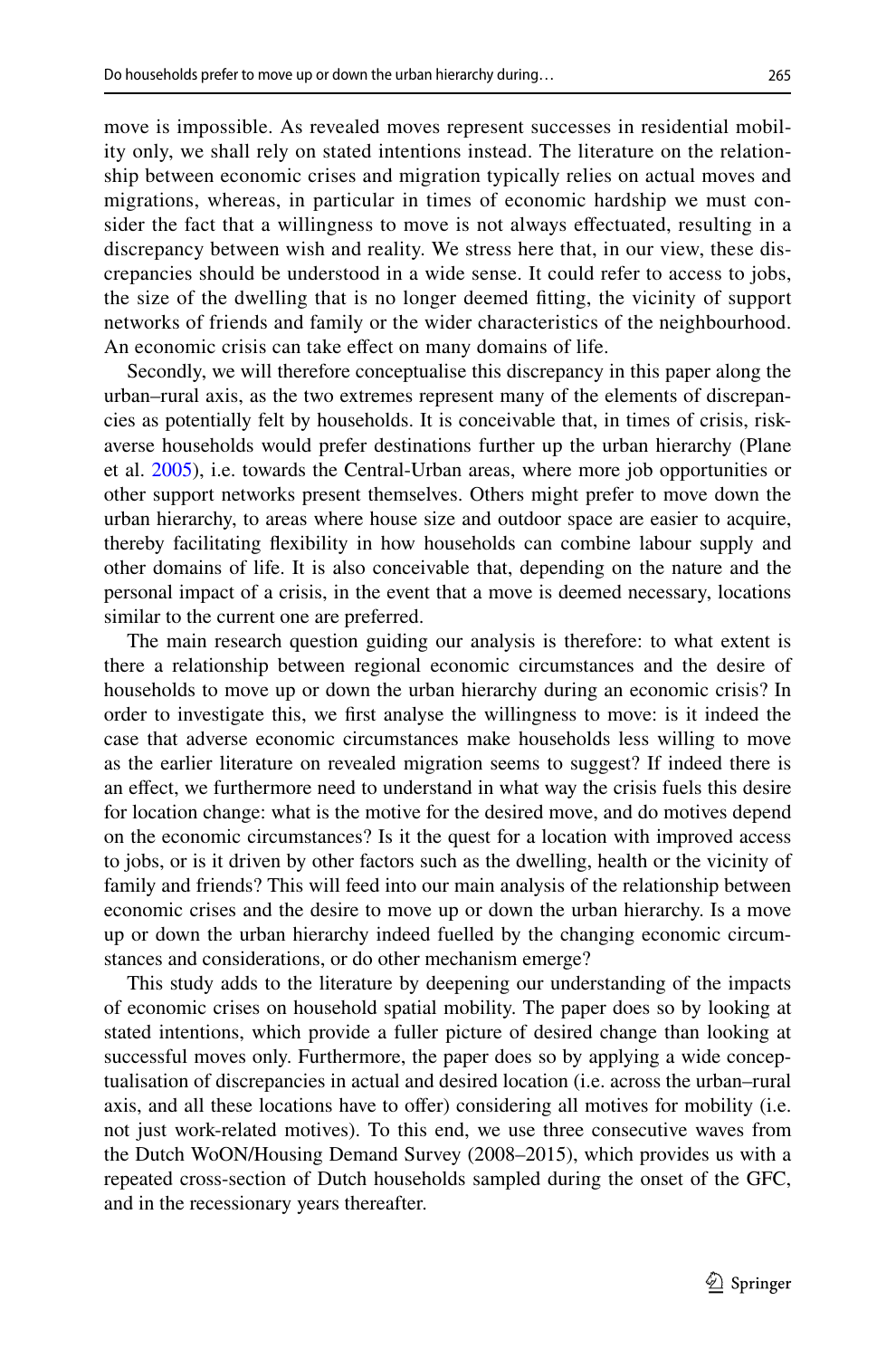move is impossible. As revealed moves represent successes in residential mobility only, we shall rely on stated intentions instead. The literature on the relationship between economic crises and migration typically relies on actual moves and migrations, whereas, in particular in times of economic hardship we must consider the fact that a willingness to move is not always efectuated, resulting in a discrepancy between wish and reality. We stress here that, in our view, these discrepancies should be understood in a wide sense. It could refer to access to jobs, the size of the dwelling that is no longer deemed ftting, the vicinity of support networks of friends and family or the wider characteristics of the neighbourhood. An economic crisis can take efect on many domains of life.

Secondly, we will therefore conceptualise this discrepancy in this paper along the urban–rural axis, as the two extremes represent many of the elements of discrepancies as potentially felt by households. It is conceivable that, in times of crisis, riskaverse households would prefer destinations further up the urban hierarchy (Plane et al. [2005](#page-26-4)), i.e. towards the Central-Urban areas, where more job opportunities or other support networks present themselves. Others might prefer to move down the urban hierarchy, to areas where house size and outdoor space are easier to acquire, thereby facilitating fexibility in how households can combine labour supply and other domains of life. It is also conceivable that, depending on the nature and the personal impact of a crisis, in the event that a move is deemed necessary, locations similar to the current one are preferred.

The main research question guiding our analysis is therefore: to what extent is there a relationship between regional economic circumstances and the desire of households to move up or down the urban hierarchy during an economic crisis? In order to investigate this, we frst analyse the willingness to move: is it indeed the case that adverse economic circumstances make households less willing to move as the earlier literature on revealed migration seems to suggest? If indeed there is an efect, we furthermore need to understand in what way the crisis fuels this desire for location change: what is the motive for the desired move, and do motives depend on the economic circumstances? Is it the quest for a location with improved access to jobs, or is it driven by other factors such as the dwelling, health or the vicinity of family and friends? This will feed into our main analysis of the relationship between economic crises and the desire to move up or down the urban hierarchy. Is a move up or down the urban hierarchy indeed fuelled by the changing economic circumstances and considerations, or do other mechanism emerge?

This study adds to the literature by deepening our understanding of the impacts of economic crises on household spatial mobility. The paper does so by looking at stated intentions, which provide a fuller picture of desired change than looking at successful moves only. Furthermore, the paper does so by applying a wide conceptualisation of discrepancies in actual and desired location (i.e. across the urban–rural axis, and all these locations have to ofer) considering all motives for mobility (i.e. not just work-related motives). To this end, we use three consecutive waves from the Dutch WoON/Housing Demand Survey (2008–2015), which provides us with a repeated cross-section of Dutch households sampled during the onset of the GFC, and in the recessionary years thereafter.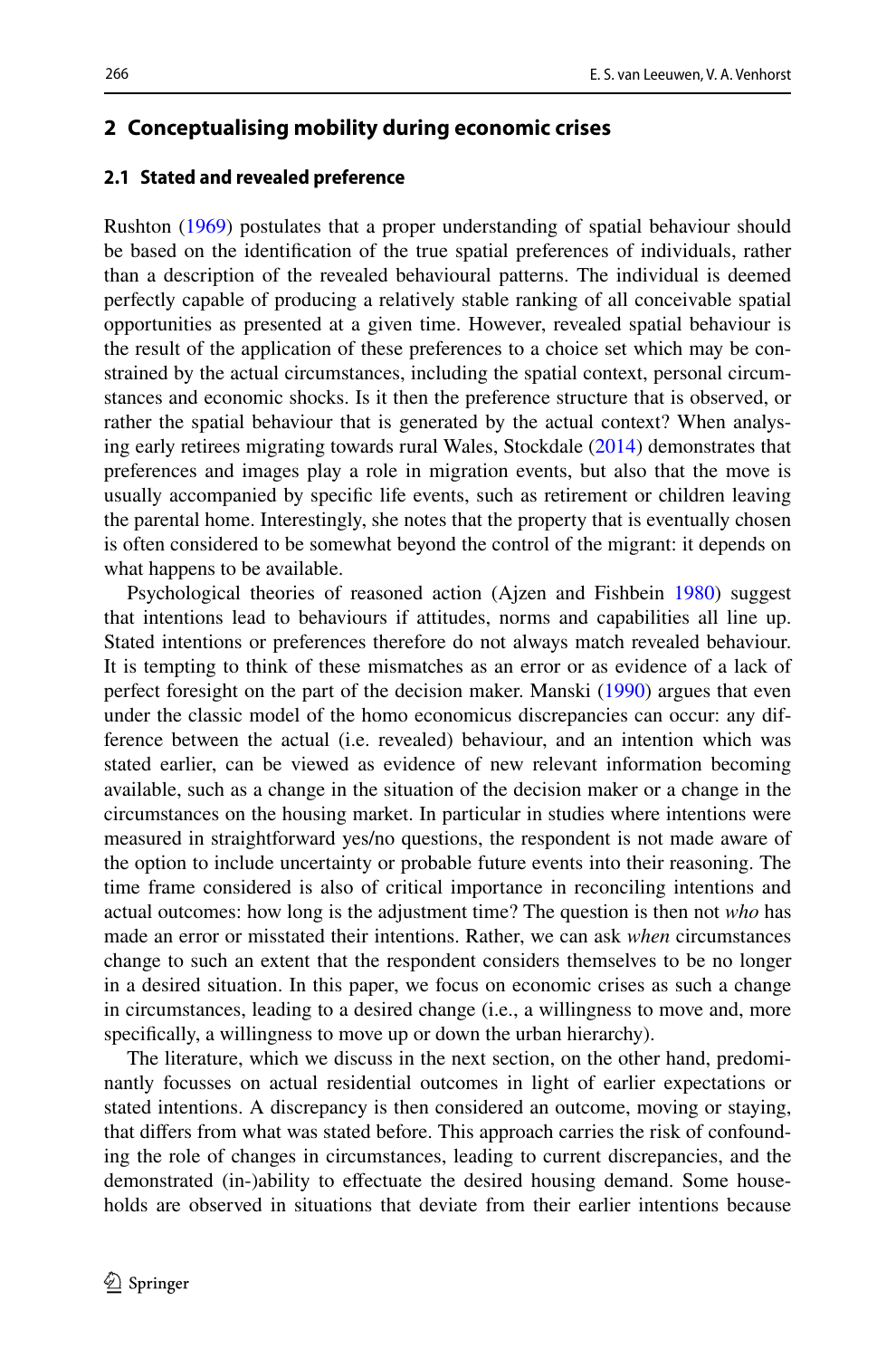### <span id="page-3-0"></span>**2 Conceptualising mobility during economic crises**

### **2.1 Stated and revealed preference**

Rushton ([1969\)](#page-26-5) postulates that a proper understanding of spatial behaviour should be based on the identifcation of the true spatial preferences of individuals, rather than a description of the revealed behavioural patterns. The individual is deemed perfectly capable of producing a relatively stable ranking of all conceivable spatial opportunities as presented at a given time. However, revealed spatial behaviour is the result of the application of these preferences to a choice set which may be constrained by the actual circumstances, including the spatial context, personal circumstances and economic shocks. Is it then the preference structure that is observed, or rather the spatial behaviour that is generated by the actual context? When analysing early retirees migrating towards rural Wales, Stockdale [\(2014](#page-26-6)) demonstrates that preferences and images play a role in migration events, but also that the move is usually accompanied by specifc life events, such as retirement or children leaving the parental home. Interestingly, she notes that the property that is eventually chosen is often considered to be somewhat beyond the control of the migrant: it depends on what happens to be available.

Psychological theories of reasoned action (Ajzen and Fishbein [1980\)](#page-25-2) suggest that intentions lead to behaviours if attitudes, norms and capabilities all line up. Stated intentions or preferences therefore do not always match revealed behaviour. It is tempting to think of these mismatches as an error or as evidence of a lack of perfect foresight on the part of the decision maker. Manski [\(1990](#page-26-7)) argues that even under the classic model of the homo economicus discrepancies can occur: any difference between the actual (i.e. revealed) behaviour, and an intention which was stated earlier, can be viewed as evidence of new relevant information becoming available, such as a change in the situation of the decision maker or a change in the circumstances on the housing market. In particular in studies where intentions were measured in straightforward yes/no questions, the respondent is not made aware of the option to include uncertainty or probable future events into their reasoning. The time frame considered is also of critical importance in reconciling intentions and actual outcomes: how long is the adjustment time? The question is then not *who* has made an error or misstated their intentions. Rather, we can ask *when* circumstances change to such an extent that the respondent considers themselves to be no longer in a desired situation. In this paper, we focus on economic crises as such a change in circumstances, leading to a desired change (i.e., a willingness to move and, more specifcally, a willingness to move up or down the urban hierarchy).

The literature, which we discuss in the next section, on the other hand, predominantly focusses on actual residential outcomes in light of earlier expectations or stated intentions. A discrepancy is then considered an outcome, moving or staying, that difers from what was stated before. This approach carries the risk of confounding the role of changes in circumstances, leading to current discrepancies, and the demonstrated (in-)ability to efectuate the desired housing demand. Some households are observed in situations that deviate from their earlier intentions because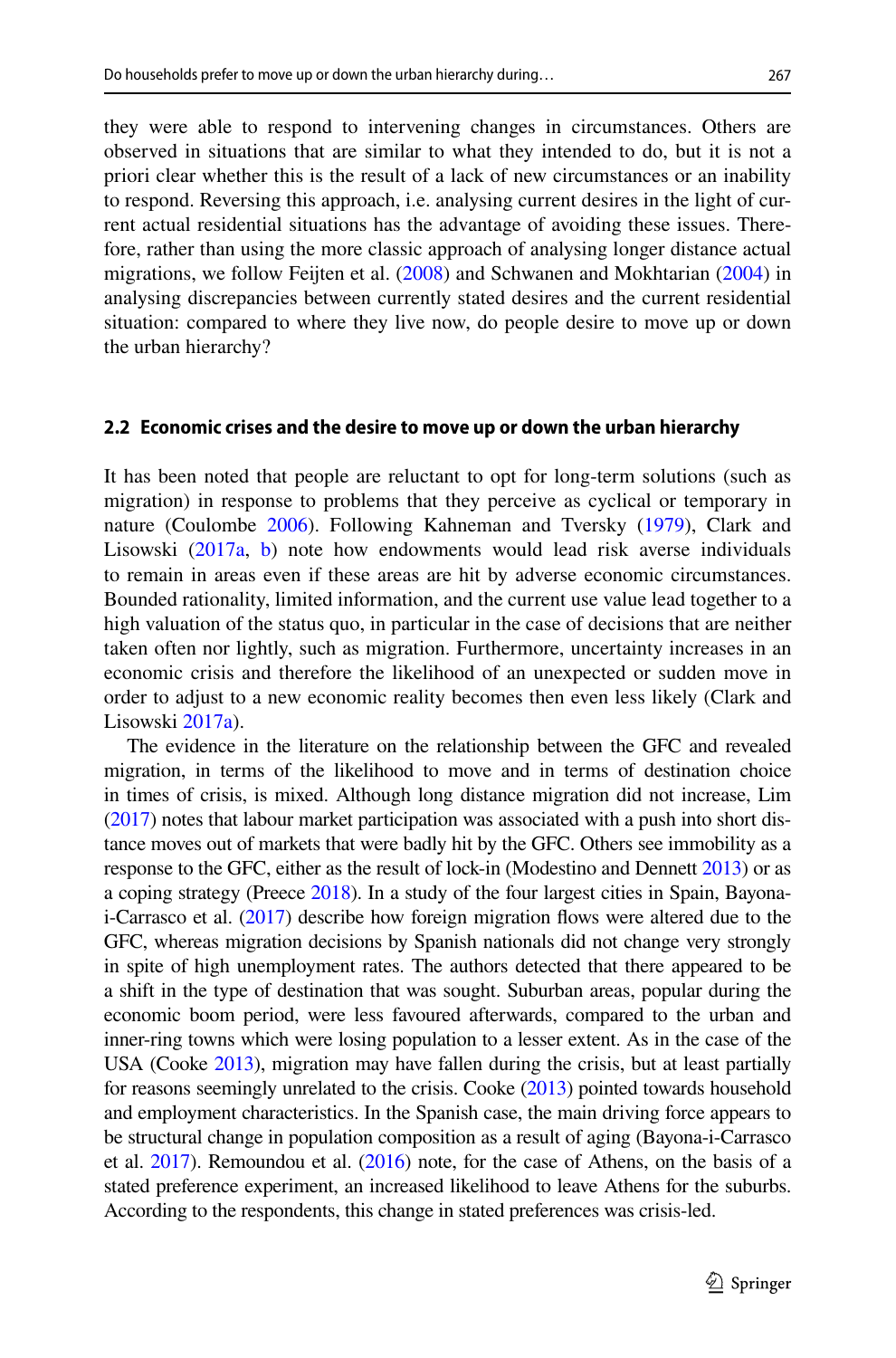they were able to respond to intervening changes in circumstances. Others are observed in situations that are similar to what they intended to do, but it is not a priori clear whether this is the result of a lack of new circumstances or an inability to respond. Reversing this approach, i.e. analysing current desires in the light of current actual residential situations has the advantage of avoiding these issues. Therefore, rather than using the more classic approach of analysing longer distance actual migrations, we follow Feijten et al. ([2008\)](#page-26-8) and Schwanen and Mokhtarian [\(2004](#page-26-9)) in analysing discrepancies between currently stated desires and the current residential situation: compared to where they live now, do people desire to move up or down the urban hierarchy?

#### **2.2 Economic crises and the desire to move up or down the urban hierarchy**

It has been noted that people are reluctant to opt for long-term solutions (such as migration) in response to problems that they perceive as cyclical or temporary in nature (Coulombe [2006](#page-25-3)). Following Kahneman and Tversky ([1979\)](#page-26-10), Clark and Lisowski ([2017a](#page-25-4), [b\)](#page-25-5) note how endowments would lead risk averse individuals to remain in areas even if these areas are hit by adverse economic circumstances. Bounded rationality, limited information, and the current use value lead together to a high valuation of the status quo, in particular in the case of decisions that are neither taken often nor lightly, such as migration. Furthermore, uncertainty increases in an economic crisis and therefore the likelihood of an unexpected or sudden move in order to adjust to a new economic reality becomes then even less likely (Clark and Lisowski [2017a](#page-25-4)).

The evidence in the literature on the relationship between the GFC and revealed migration, in terms of the likelihood to move and in terms of destination choice in times of crisis, is mixed. Although long distance migration did not increase, Lim [\(2017\)](#page-26-11) notes that labour market participation was associated with a push into short distance moves out of markets that were badly hit by the GFC. Others see immobility as a response to the GFC, either as the result of lock-in (Modestino and Dennett [2013](#page-26-12)) or as a coping strategy (Preece [2018](#page-26-13)). In a study of the four largest cities in Spain, Bayonai-Carrasco et al. [\(2017\)](#page-25-6) describe how foreign migration fows were altered due to the GFC, whereas migration decisions by Spanish nationals did not change very strongly in spite of high unemployment rates. The authors detected that there appeared to be a shift in the type of destination that was sought. Suburban areas, popular during the economic boom period, were less favoured afterwards, compared to the urban and inner-ring towns which were losing population to a lesser extent. As in the case of the USA (Cooke [2013\)](#page-25-0), migration may have fallen during the crisis, but at least partially for reasons seemingly unrelated to the crisis. Cooke ([2013](#page-25-0)) pointed towards household and employment characteristics. In the Spanish case, the main driving force appears to be structural change in population composition as a result of aging (Bayona-i-Carrasco et al.  $2017$ ). Remoundou et al.  $(2016)$  note, for the case of Athens, on the basis of a stated preference experiment, an increased likelihood to leave Athens for the suburbs. According to the respondents, this change in stated preferences was crisis-led.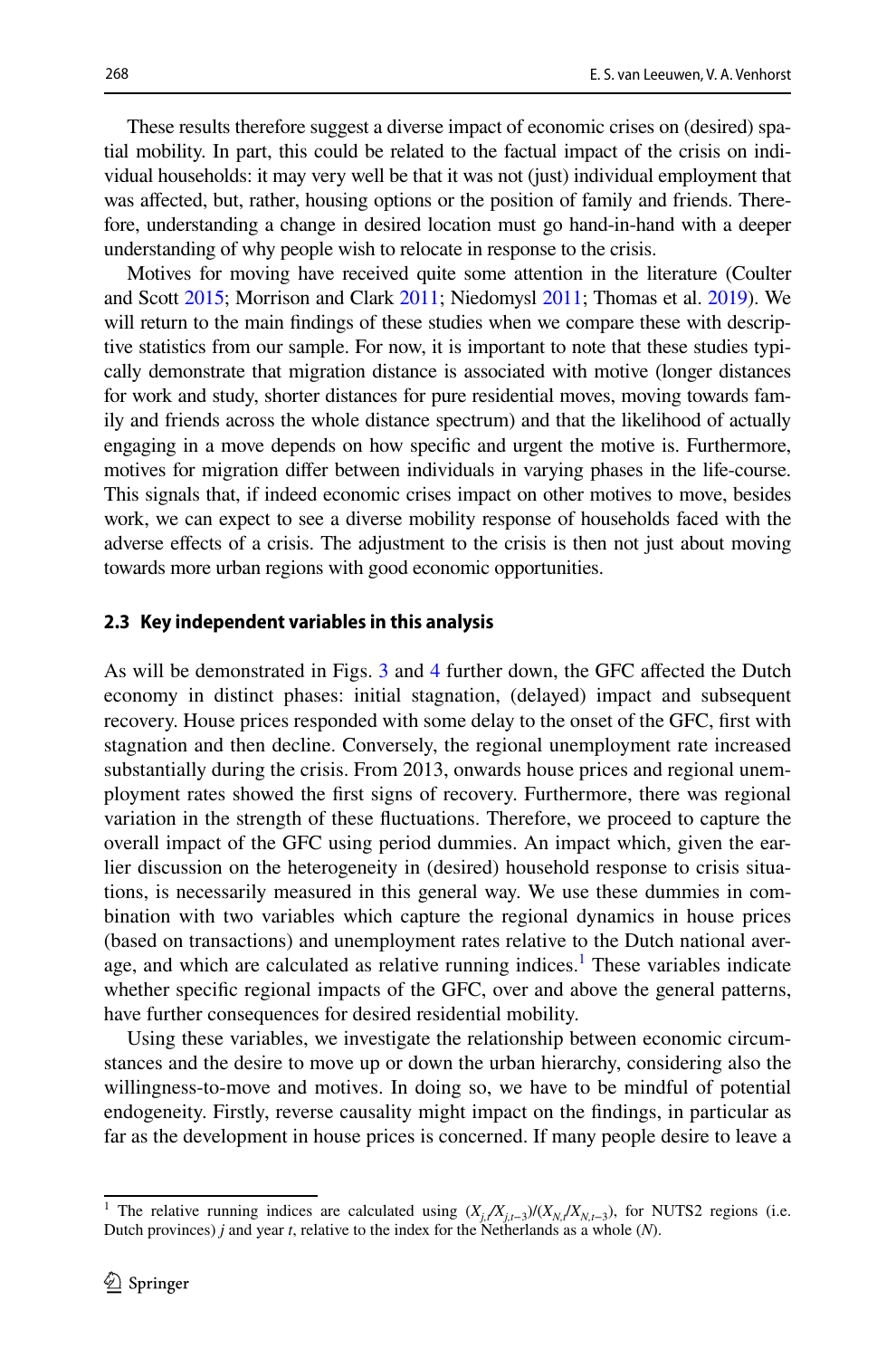These results therefore suggest a diverse impact of economic crises on (desired) spatial mobility. In part, this could be related to the factual impact of the crisis on individual households: it may very well be that it was not (just) individual employment that was afected, but, rather, housing options or the position of family and friends. Therefore, understanding a change in desired location must go hand-in-hand with a deeper understanding of why people wish to relocate in response to the crisis.

Motives for moving have received quite some attention in the literature (Coulter and Scott [2015](#page-25-7); Morrison and Clark [2011;](#page-26-15) Niedomysl [2011;](#page-26-16) Thomas et al. [2019\)](#page-26-17). We will return to the main fndings of these studies when we compare these with descriptive statistics from our sample. For now, it is important to note that these studies typically demonstrate that migration distance is associated with motive (longer distances for work and study, shorter distances for pure residential moves, moving towards family and friends across the whole distance spectrum) and that the likelihood of actually engaging in a move depends on how specifc and urgent the motive is. Furthermore, motives for migration difer between individuals in varying phases in the life-course. This signals that, if indeed economic crises impact on other motives to move, besides work, we can expect to see a diverse mobility response of households faced with the adverse efects of a crisis. The adjustment to the crisis is then not just about moving towards more urban regions with good economic opportunities.

#### **2.3 Key independent variables in this analysis**

As will be demonstrated in Figs. [3](#page-13-0) and [4](#page-13-1) further down, the GFC afected the Dutch economy in distinct phases: initial stagnation, (delayed) impact and subsequent recovery. House prices responded with some delay to the onset of the GFC, frst with stagnation and then decline. Conversely, the regional unemployment rate increased substantially during the crisis. From 2013, onwards house prices and regional unemployment rates showed the frst signs of recovery. Furthermore, there was regional variation in the strength of these fuctuations. Therefore, we proceed to capture the overall impact of the GFC using period dummies. An impact which, given the earlier discussion on the heterogeneity in (desired) household response to crisis situations, is necessarily measured in this general way. We use these dummies in combination with two variables which capture the regional dynamics in house prices (based on transactions) and unemployment rates relative to the Dutch national aver-age, and which are calculated as relative running indices.<sup>[1](#page-5-0)</sup> These variables indicate whether specific regional impacts of the GFC, over and above the general patterns, have further consequences for desired residential mobility.

Using these variables, we investigate the relationship between economic circumstances and the desire to move up or down the urban hierarchy, considering also the willingness-to-move and motives. In doing so, we have to be mindful of potential endogeneity. Firstly, reverse causality might impact on the fndings, in particular as far as the development in house prices is concerned. If many people desire to leave a

<span id="page-5-0"></span><sup>&</sup>lt;sup>1</sup> The relative running indices are calculated using  $(X_i/X_{i,t-3})/(X_{N,t}/X_{N,t-3})$ , for NUTS2 regions (i.e. Dutch provinces) *j* and year *t*, relative to the index for the Netherlands as a whole (*N*).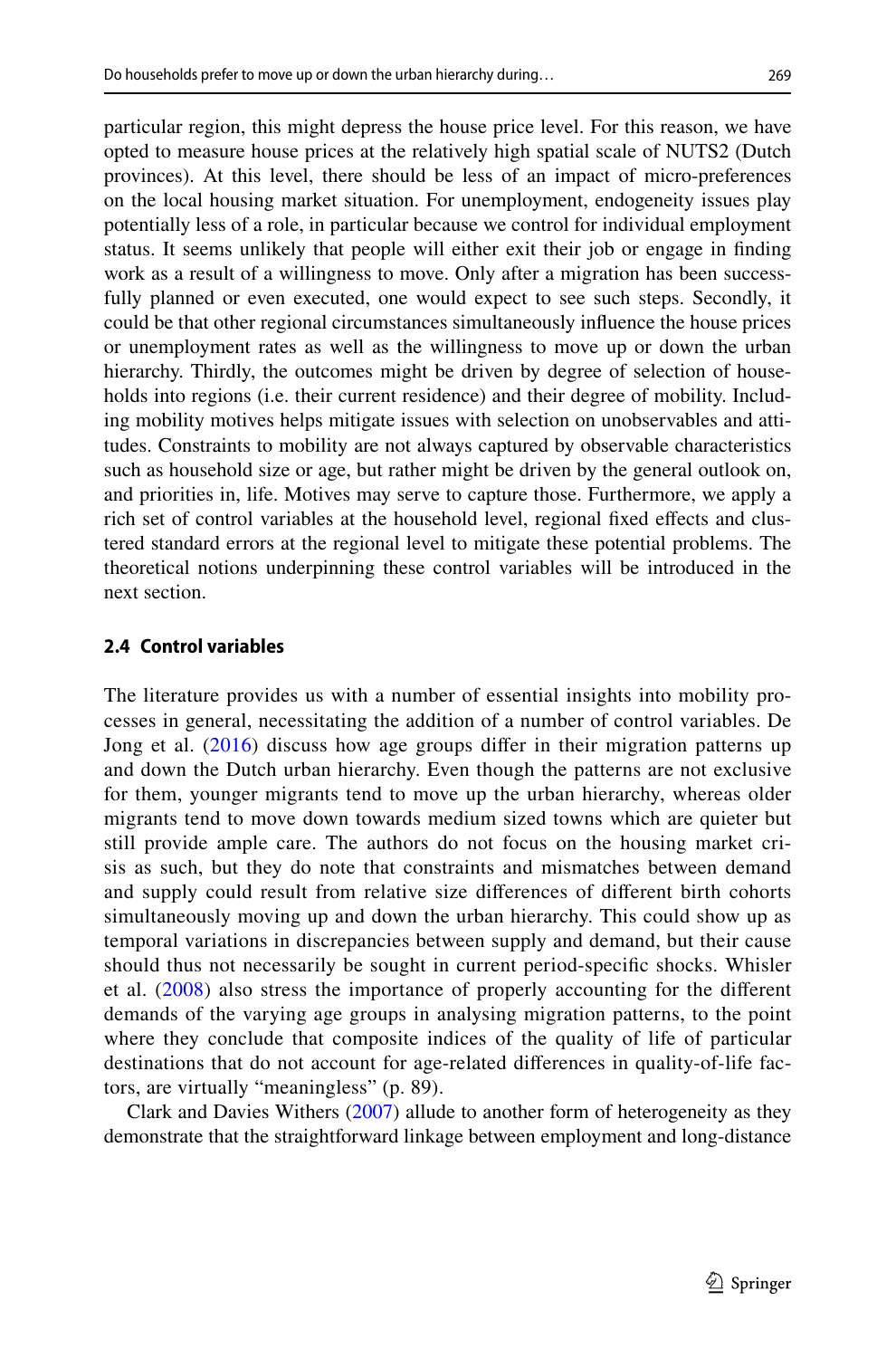particular region, this might depress the house price level. For this reason, we have opted to measure house prices at the relatively high spatial scale of NUTS2 (Dutch provinces). At this level, there should be less of an impact of micro-preferences on the local housing market situation. For unemployment, endogeneity issues play potentially less of a role, in particular because we control for individual employment status. It seems unlikely that people will either exit their job or engage in fnding work as a result of a willingness to move. Only after a migration has been successfully planned or even executed, one would expect to see such steps. Secondly, it could be that other regional circumstances simultaneously infuence the house prices or unemployment rates as well as the willingness to move up or down the urban hierarchy. Thirdly, the outcomes might be driven by degree of selection of households into regions (i.e. their current residence) and their degree of mobility. Including mobility motives helps mitigate issues with selection on unobservables and attitudes. Constraints to mobility are not always captured by observable characteristics such as household size or age, but rather might be driven by the general outlook on, and priorities in, life. Motives may serve to capture those. Furthermore, we apply a rich set of control variables at the household level, regional fxed efects and clustered standard errors at the regional level to mitigate these potential problems. The theoretical notions underpinning these control variables will be introduced in the next section.

#### **2.4 Control variables**

The literature provides us with a number of essential insights into mobility processes in general, necessitating the addition of a number of control variables. De Jong et al. ([2016\)](#page-26-2) discuss how age groups differ in their migration patterns up and down the Dutch urban hierarchy. Even though the patterns are not exclusive for them, younger migrants tend to move up the urban hierarchy, whereas older migrants tend to move down towards medium sized towns which are quieter but still provide ample care. The authors do not focus on the housing market crisis as such, but they do note that constraints and mismatches between demand and supply could result from relative size diferences of diferent birth cohorts simultaneously moving up and down the urban hierarchy. This could show up as temporal variations in discrepancies between supply and demand, but their cause should thus not necessarily be sought in current period-specifc shocks. Whisler et al. ([2008](#page-26-18)) also stress the importance of properly accounting for the diferent demands of the varying age groups in analysing migration patterns, to the point where they conclude that composite indices of the quality of life of particular destinations that do not account for age-related diferences in quality-of-life factors, are virtually "meaningless" (p. 89).

Clark and Davies Withers ([2007\)](#page-25-8) allude to another form of heterogeneity as they demonstrate that the straightforward linkage between employment and long-distance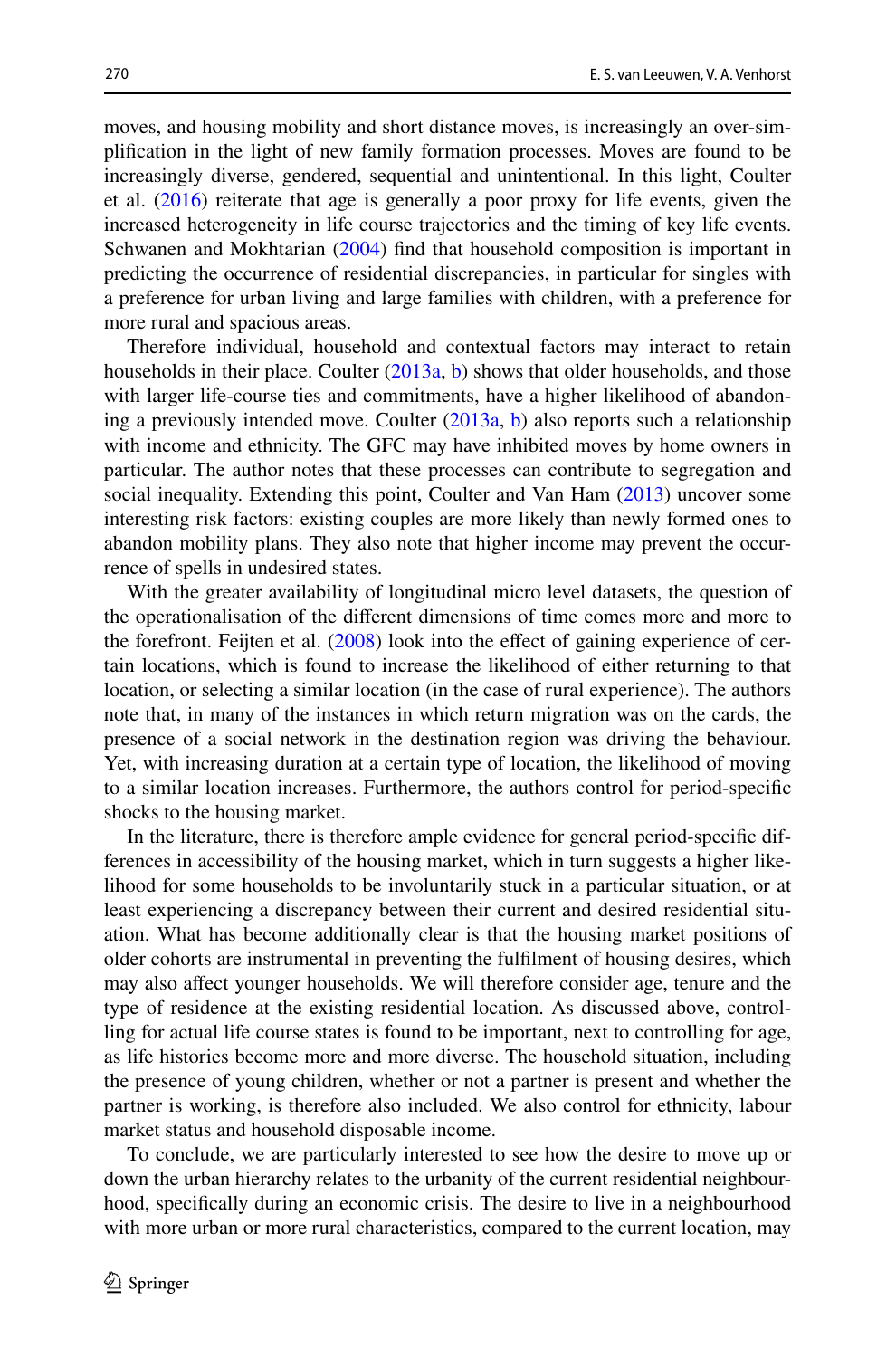moves, and housing mobility and short distance moves, is increasingly an over-simplifcation in the light of new family formation processes. Moves are found to be increasingly diverse, gendered, sequential and unintentional. In this light, Coulter et al. ([2016\)](#page-25-1) reiterate that age is generally a poor proxy for life events, given the increased heterogeneity in life course trajectories and the timing of key life events. Schwanen and Mokhtarian ([2004\)](#page-26-9) find that household composition is important in predicting the occurrence of residential discrepancies, in particular for singles with a preference for urban living and large families with children, with a preference for more rural and spacious areas.

Therefore individual, household and contextual factors may interact to retain households in their place. Coulter ([2013a](#page-25-9), [b](#page-25-10)) shows that older households, and those with larger life-course ties and commitments, have a higher likelihood of abandoning a previously intended move. Coulter ([2013a](#page-25-9), [b\)](#page-25-10) also reports such a relationship with income and ethnicity. The GFC may have inhibited moves by home owners in particular. The author notes that these processes can contribute to segregation and social inequality. Extending this point, Coulter and Van Ham ([2013\)](#page-25-11) uncover some interesting risk factors: existing couples are more likely than newly formed ones to abandon mobility plans. They also note that higher income may prevent the occurrence of spells in undesired states.

With the greater availability of longitudinal micro level datasets, the question of the operationalisation of the diferent dimensions of time comes more and more to the forefront. Feijten et al. [\(2008](#page-26-8)) look into the efect of gaining experience of certain locations, which is found to increase the likelihood of either returning to that location, or selecting a similar location (in the case of rural experience). The authors note that, in many of the instances in which return migration was on the cards, the presence of a social network in the destination region was driving the behaviour. Yet, with increasing duration at a certain type of location, the likelihood of moving to a similar location increases. Furthermore, the authors control for period-specifc shocks to the housing market.

In the literature, there is therefore ample evidence for general period-specifc differences in accessibility of the housing market, which in turn suggests a higher likelihood for some households to be involuntarily stuck in a particular situation, or at least experiencing a discrepancy between their current and desired residential situation. What has become additionally clear is that the housing market positions of older cohorts are instrumental in preventing the fulflment of housing desires, which may also afect younger households. We will therefore consider age, tenure and the type of residence at the existing residential location. As discussed above, controlling for actual life course states is found to be important, next to controlling for age, as life histories become more and more diverse. The household situation, including the presence of young children, whether or not a partner is present and whether the partner is working, is therefore also included. We also control for ethnicity, labour market status and household disposable income.

To conclude, we are particularly interested to see how the desire to move up or down the urban hierarchy relates to the urbanity of the current residential neighbourhood, specifcally during an economic crisis. The desire to live in a neighbourhood with more urban or more rural characteristics, compared to the current location, may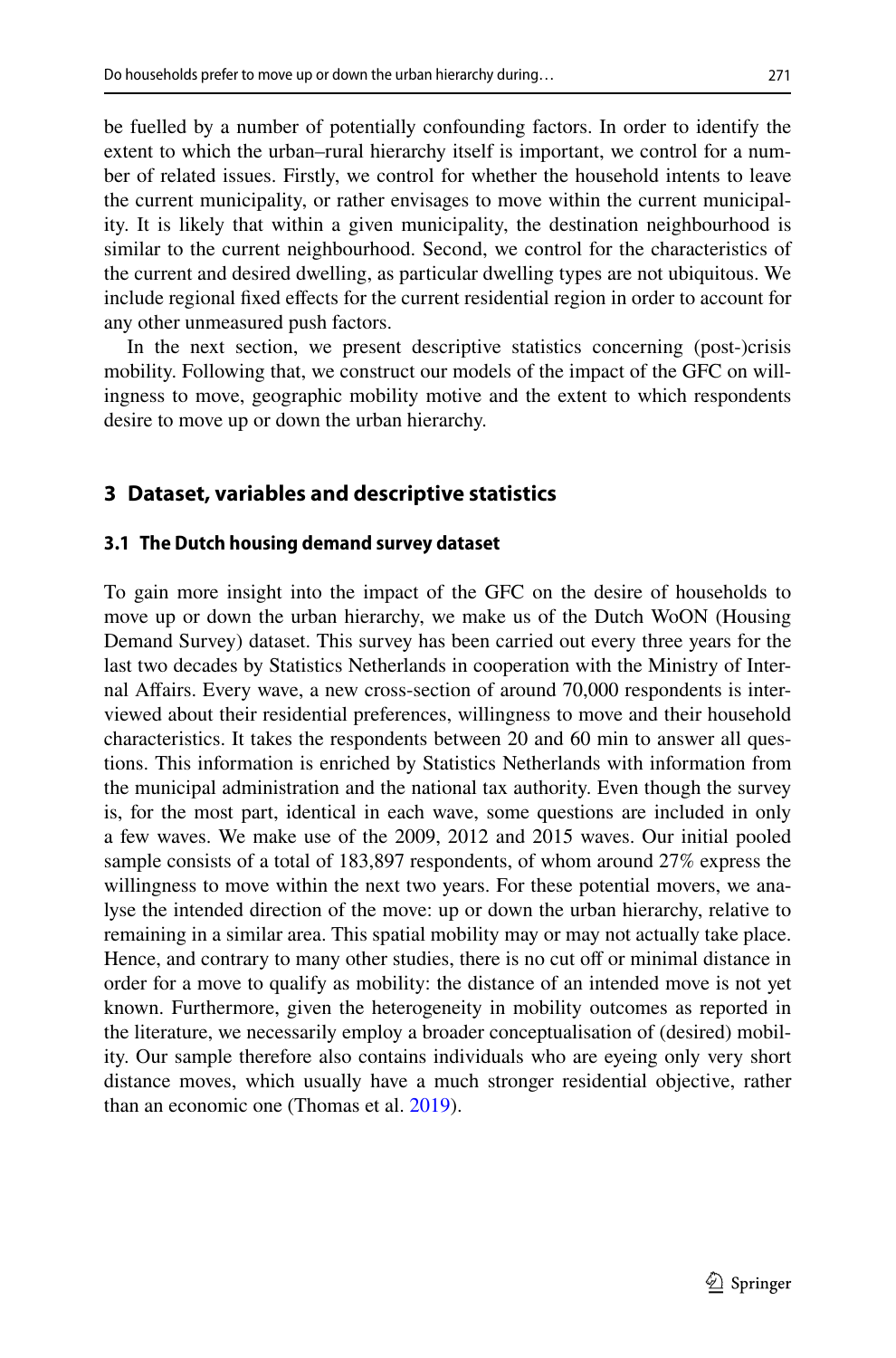be fuelled by a number of potentially confounding factors. In order to identify the extent to which the urban–rural hierarchy itself is important, we control for a number of related issues. Firstly, we control for whether the household intents to leave the current municipality, or rather envisages to move within the current municipality. It is likely that within a given municipality, the destination neighbourhood is similar to the current neighbourhood. Second, we control for the characteristics of the current and desired dwelling, as particular dwelling types are not ubiquitous. We include regional fxed efects for the current residential region in order to account for any other unmeasured push factors.

In the next section, we present descriptive statistics concerning (post-)crisis mobility. Following that, we construct our models of the impact of the GFC on willingness to move, geographic mobility motive and the extent to which respondents desire to move up or down the urban hierarchy.

# **3 Dataset, variables and descriptive statistics**

### **3.1 The Dutch housing demand survey dataset**

To gain more insight into the impact of the GFC on the desire of households to move up or down the urban hierarchy, we make us of the Dutch WoON (Housing Demand Survey) dataset. This survey has been carried out every three years for the last two decades by Statistics Netherlands in cooperation with the Ministry of Internal Afairs. Every wave, a new cross-section of around 70,000 respondents is interviewed about their residential preferences, willingness to move and their household characteristics. It takes the respondents between 20 and 60 min to answer all questions. This information is enriched by Statistics Netherlands with information from the municipal administration and the national tax authority. Even though the survey is, for the most part, identical in each wave, some questions are included in only a few waves. We make use of the 2009, 2012 and 2015 waves. Our initial pooled sample consists of a total of 183,897 respondents, of whom around 27% express the willingness to move within the next two years. For these potential movers, we analyse the intended direction of the move: up or down the urban hierarchy, relative to remaining in a similar area. This spatial mobility may or may not actually take place. Hence, and contrary to many other studies, there is no cut off or minimal distance in order for a move to qualify as mobility: the distance of an intended move is not yet known. Furthermore, given the heterogeneity in mobility outcomes as reported in the literature, we necessarily employ a broader conceptualisation of (desired) mobility. Our sample therefore also contains individuals who are eyeing only very short distance moves, which usually have a much stronger residential objective, rather than an economic one (Thomas et al. [2019\)](#page-26-17).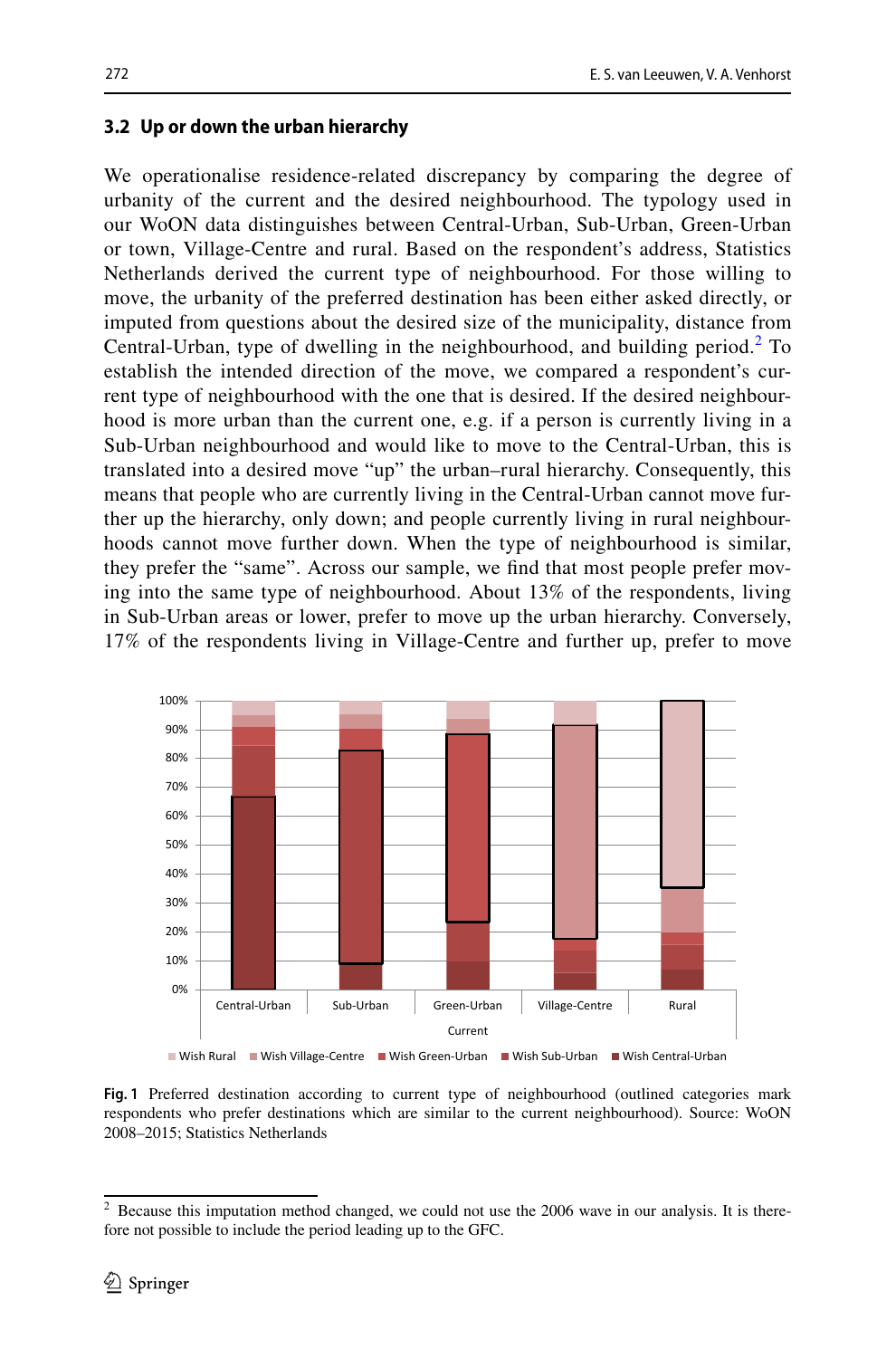#### **3.2 Up or down the urban hierarchy**

We operationalise residence-related discrepancy by comparing the degree of urbanity of the current and the desired neighbourhood. The typology used in our WoON data distinguishes between Central-Urban, Sub-Urban, Green-Urban or town, Village-Centre and rural. Based on the respondent's address, Statistics Netherlands derived the current type of neighbourhood. For those willing to move, the urbanity of the preferred destination has been either asked directly, or imputed from questions about the desired size of the municipality, distance from Central-Urban, type of dwelling in the neighbourhood, and building period. $2$  To establish the intended direction of the move, we compared a respondent's current type of neighbourhood with the one that is desired. If the desired neighbourhood is more urban than the current one, e.g. if a person is currently living in a Sub-Urban neighbourhood and would like to move to the Central-Urban, this is translated into a desired move "up" the urban–rural hierarchy. Consequently, this means that people who are currently living in the Central-Urban cannot move further up the hierarchy, only down; and people currently living in rural neighbourhoods cannot move further down. When the type of neighbourhood is similar, they prefer the "same". Across our sample, we fnd that most people prefer moving into the same type of neighbourhood. About 13% of the respondents, living in Sub-Urban areas or lower, prefer to move up the urban hierarchy. Conversely, 17% of the respondents living in Village-Centre and further up, prefer to move



<span id="page-9-1"></span>**Fig. 1** Preferred destination according to current type of neighbourhood (outlined categories mark respondents who prefer destinations which are similar to the current neighbourhood). Source: WoON 2008–2015; Statistics Netherlands

<span id="page-9-0"></span> $2$  Because this imputation method changed, we could not use the 2006 wave in our analysis. It is therefore not possible to include the period leading up to the GFC.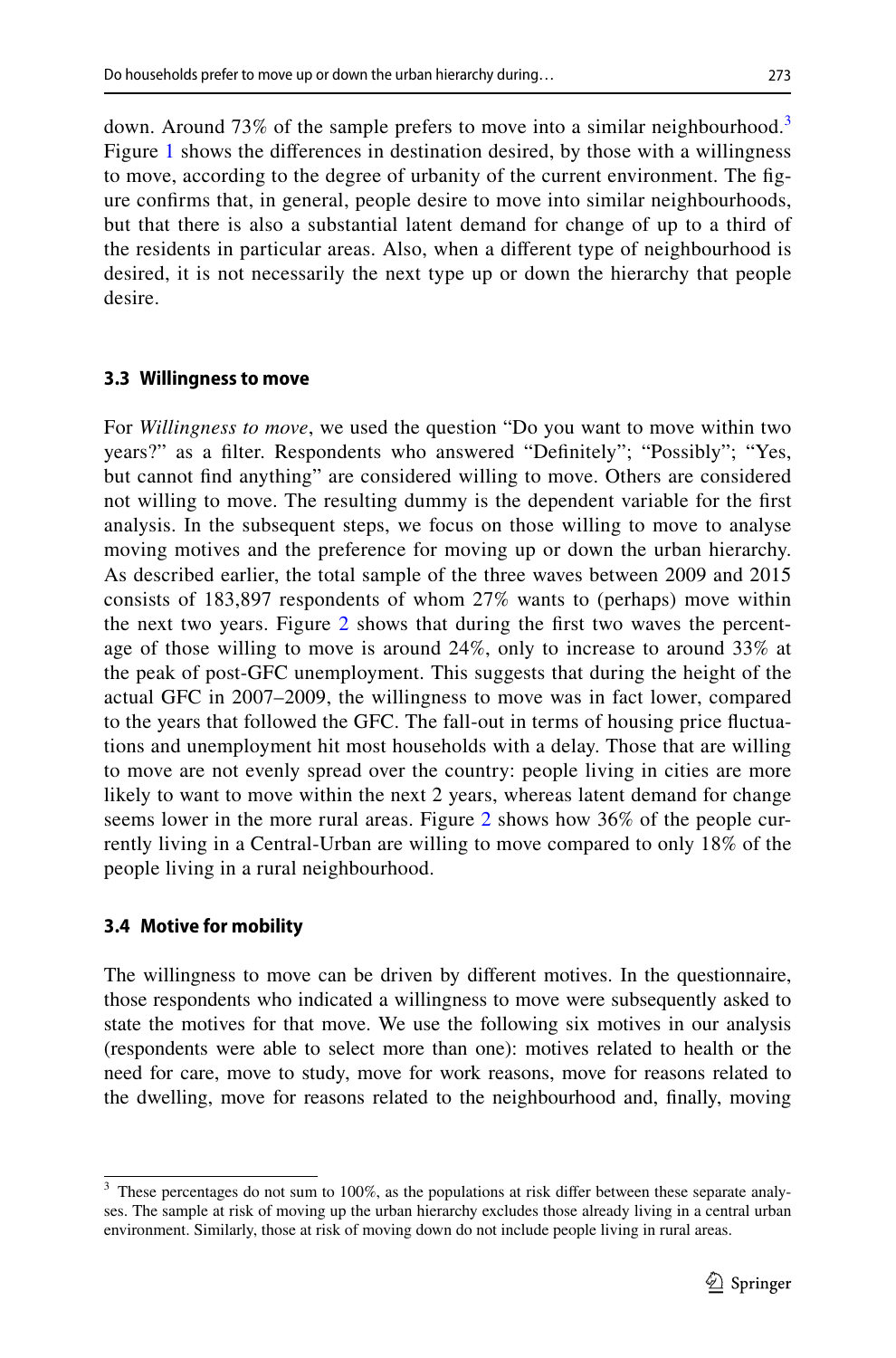down. Around 7[3](#page-10-0)% of the sample prefers to move into a similar neighbourhood.<sup>3</sup> Figure [1](#page-9-1) shows the diferences in destination desired, by those with a willingness to move, according to the degree of urbanity of the current environment. The fgure confrms that, in general, people desire to move into similar neighbourhoods, but that there is also a substantial latent demand for change of up to a third of the residents in particular areas. Also, when a diferent type of neighbourhood is desired, it is not necessarily the next type up or down the hierarchy that people desire.

# **3.3 Willingness to move**

For *Willingness to move*, we used the question "Do you want to move within two years?" as a flter. Respondents who answered "Defnitely"; "Possibly"; "Yes, but cannot fnd anything" are considered willing to move. Others are considered not willing to move. The resulting dummy is the dependent variable for the frst analysis. In the subsequent steps, we focus on those willing to move to analyse moving motives and the preference for moving up or down the urban hierarchy. As described earlier, the total sample of the three waves between 2009 and 2015 consists of 183,897 respondents of whom 27% wants to (perhaps) move within the next two years. Figure  $2$  shows that during the first two waves the percentage of those willing to move is around 24%, only to increase to around 33% at the peak of post-GFC unemployment. This suggests that during the height of the actual GFC in 2007–2009, the willingness to move was in fact lower, compared to the years that followed the GFC. The fall-out in terms of housing price fuctuations and unemployment hit most households with a delay. Those that are willing to move are not evenly spread over the country: people living in cities are more likely to want to move within the next 2 years, whereas latent demand for change seems lower in the more rural areas. Figure [2](#page-11-0) shows how 36% of the people currently living in a Central-Urban are willing to move compared to only 18% of the people living in a rural neighbourhood.

# **3.4 Motive for mobility**

The willingness to move can be driven by diferent motives. In the questionnaire, those respondents who indicated a willingness to move were subsequently asked to state the motives for that move. We use the following six motives in our analysis (respondents were able to select more than one): motives related to health or the need for care, move to study, move for work reasons, move for reasons related to the dwelling, move for reasons related to the neighbourhood and, fnally, moving

<span id="page-10-0"></span>These percentages do not sum to 100%, as the populations at risk differ between these separate analyses. The sample at risk of moving up the urban hierarchy excludes those already living in a central urban environment. Similarly, those at risk of moving down do not include people living in rural areas.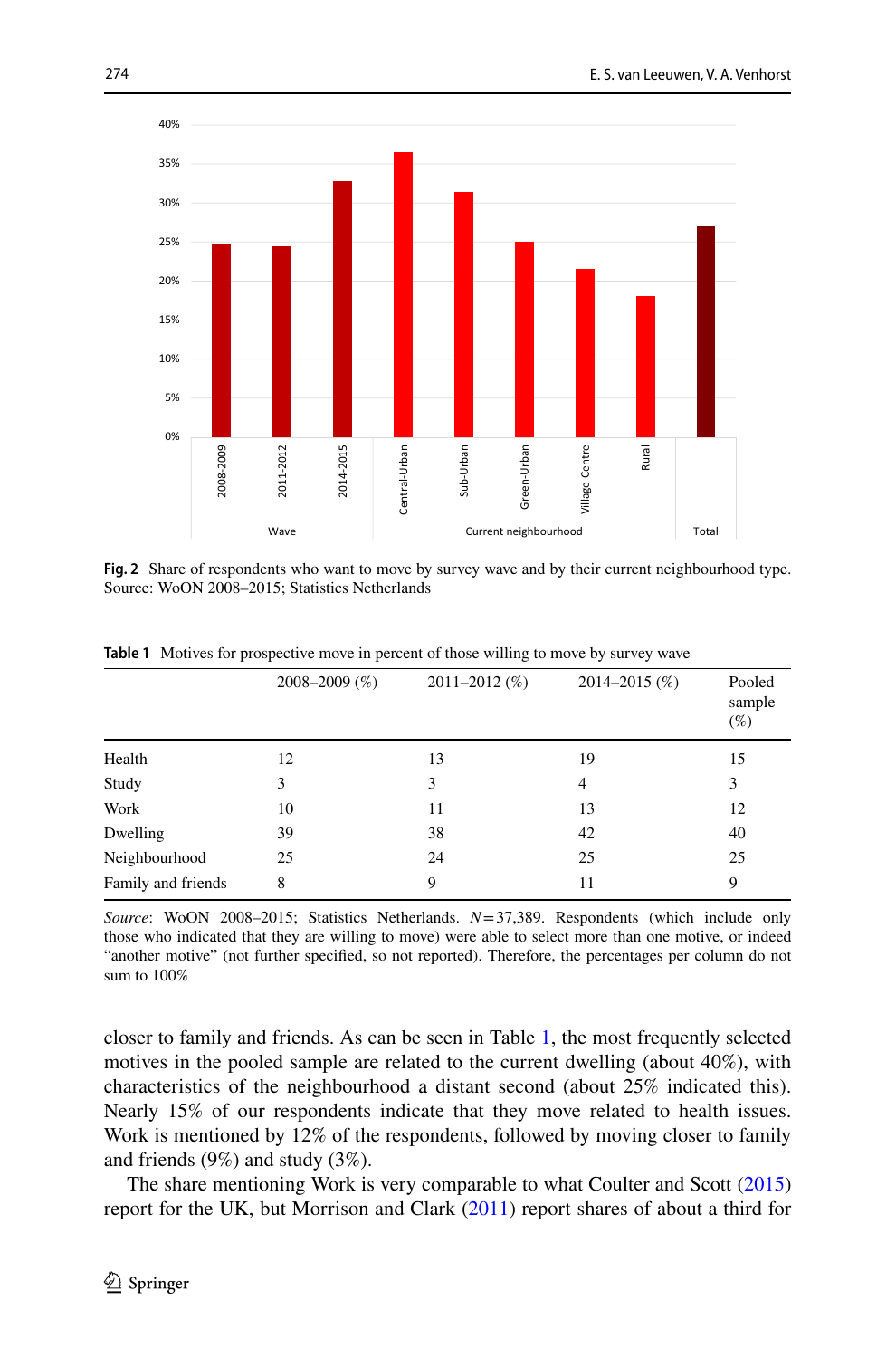

<span id="page-11-0"></span>**Fig. 2** Share of respondents who want to move by survey wave and by their current neighbourhood type. Source: WoON 2008–2015; Statistics Netherlands

|                    | $2008 - 2009$ (%) | $2011 - 2012$ (%) | $2014 - 2015$ (%) | Pooled<br>sample<br>(%) |
|--------------------|-------------------|-------------------|-------------------|-------------------------|
| Health             | 12                | 13                | 19                | 15                      |
| Study              | 3                 | 3                 | 4                 | 3                       |
| Work               | 10                | 11                | 13                | 12                      |
| Dwelling           | 39                | 38                | 42                | 40                      |
| Neighbourhood      | 25                | 24                | 25                | 25                      |
| Family and friends | 8                 | 9                 | 11                | 9                       |

<span id="page-11-1"></span>**Table 1** Motives for prospective move in percent of those willing to move by survey wave

*Source*: WoON 2008–2015; Statistics Netherlands. *N*=37,389. Respondents (which include only those who indicated that they are willing to move) were able to select more than one motive, or indeed "another motive" (not further specifed, so not reported). Therefore, the percentages per column do not sum to 100%

closer to family and friends. As can be seen in Table [1](#page-11-1), the most frequently selected motives in the pooled sample are related to the current dwelling (about 40%), with characteristics of the neighbourhood a distant second (about 25% indicated this). Nearly 15% of our respondents indicate that they move related to health issues. Work is mentioned by 12% of the respondents, followed by moving closer to family and friends (9%) and study (3%).

The share mentioning Work is very comparable to what Coulter and Scott [\(2015](#page-25-7)) report for the UK, but Morrison and Clark ([2011\)](#page-26-15) report shares of about a third for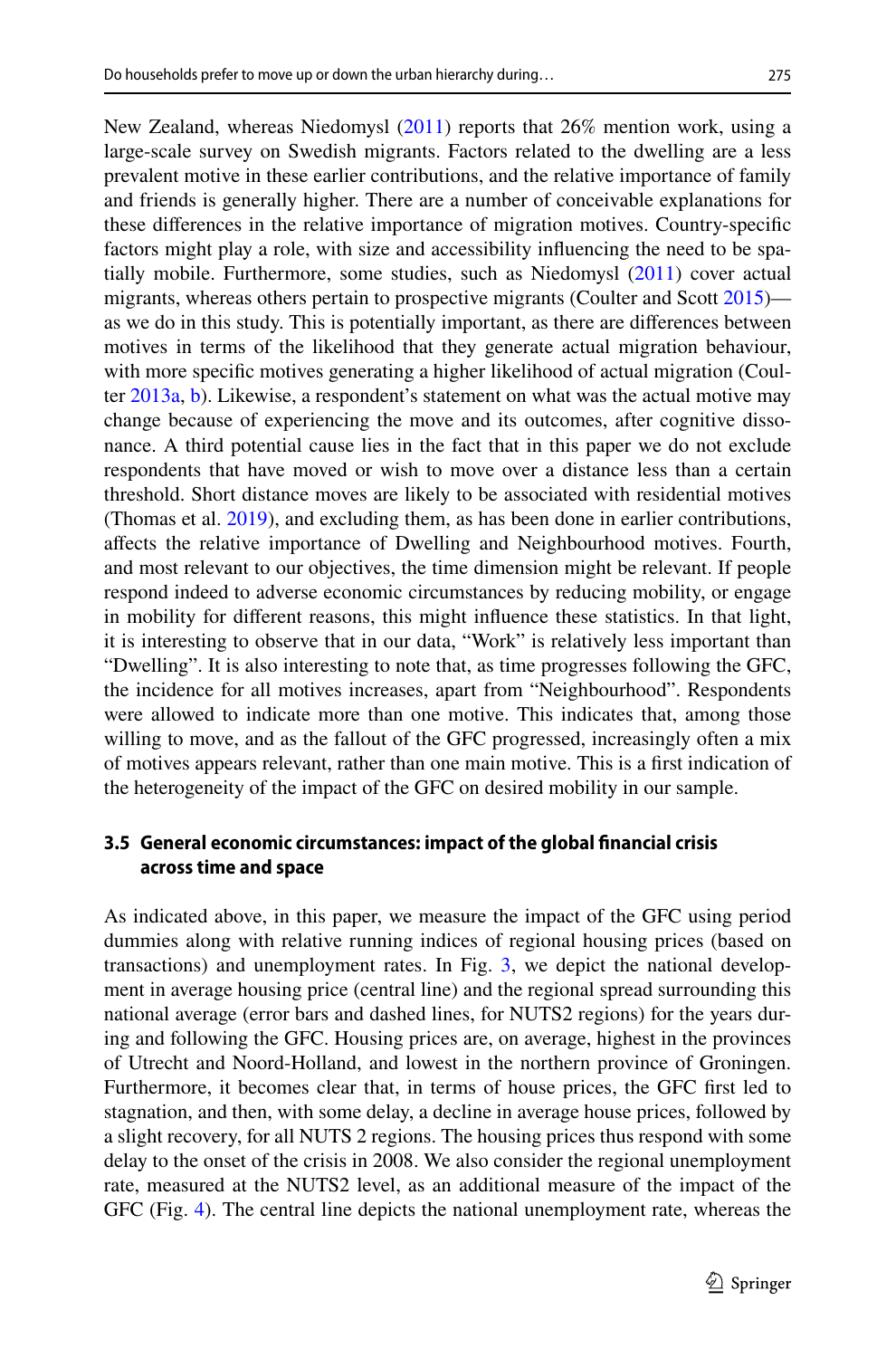New Zealand, whereas Niedomysl [\(2011](#page-26-16)) reports that 26% mention work, using a large-scale survey on Swedish migrants. Factors related to the dwelling are a less prevalent motive in these earlier contributions, and the relative importance of family and friends is generally higher. There are a number of conceivable explanations for these diferences in the relative importance of migration motives. Country-specifc factors might play a role, with size and accessibility infuencing the need to be spatially mobile. Furthermore, some studies, such as Niedomysl [\(2011](#page-26-16)) cover actual migrants, whereas others pertain to prospective migrants (Coulter and Scott [2015](#page-25-7)) as we do in this study. This is potentially important, as there are diferences between motives in terms of the likelihood that they generate actual migration behaviour, with more specifc motives generating a higher likelihood of actual migration (Coulter [2013a](#page-25-9), [b](#page-25-10)). Likewise, a respondent's statement on what was the actual motive may change because of experiencing the move and its outcomes, after cognitive dissonance. A third potential cause lies in the fact that in this paper we do not exclude respondents that have moved or wish to move over a distance less than a certain threshold. Short distance moves are likely to be associated with residential motives (Thomas et al. [2019](#page-26-17)), and excluding them, as has been done in earlier contributions, afects the relative importance of Dwelling and Neighbourhood motives. Fourth, and most relevant to our objectives, the time dimension might be relevant. If people respond indeed to adverse economic circumstances by reducing mobility, or engage in mobility for diferent reasons, this might infuence these statistics. In that light, it is interesting to observe that in our data, "Work" is relatively less important than "Dwelling". It is also interesting to note that, as time progresses following the GFC, the incidence for all motives increases, apart from "Neighbourhood". Respondents were allowed to indicate more than one motive. This indicates that, among those willing to move, and as the fallout of the GFC progressed, increasingly often a mix of motives appears relevant, rather than one main motive. This is a frst indication of the heterogeneity of the impact of the GFC on desired mobility in our sample.

### **3.5 General economic circumstances: impact of the global fnancial crisis across time and space**

As indicated above, in this paper, we measure the impact of the GFC using period dummies along with relative running indices of regional housing prices (based on transactions) and unemployment rates. In Fig. [3,](#page-13-0) we depict the national development in average housing price (central line) and the regional spread surrounding this national average (error bars and dashed lines, for NUTS2 regions) for the years during and following the GFC. Housing prices are, on average, highest in the provinces of Utrecht and Noord-Holland, and lowest in the northern province of Groningen. Furthermore, it becomes clear that, in terms of house prices, the GFC frst led to stagnation, and then, with some delay, a decline in average house prices, followed by a slight recovery, for all NUTS 2 regions. The housing prices thus respond with some delay to the onset of the crisis in 2008. We also consider the regional unemployment rate, measured at the NUTS2 level, as an additional measure of the impact of the GFC (Fig. [4](#page-13-1)). The central line depicts the national unemployment rate, whereas the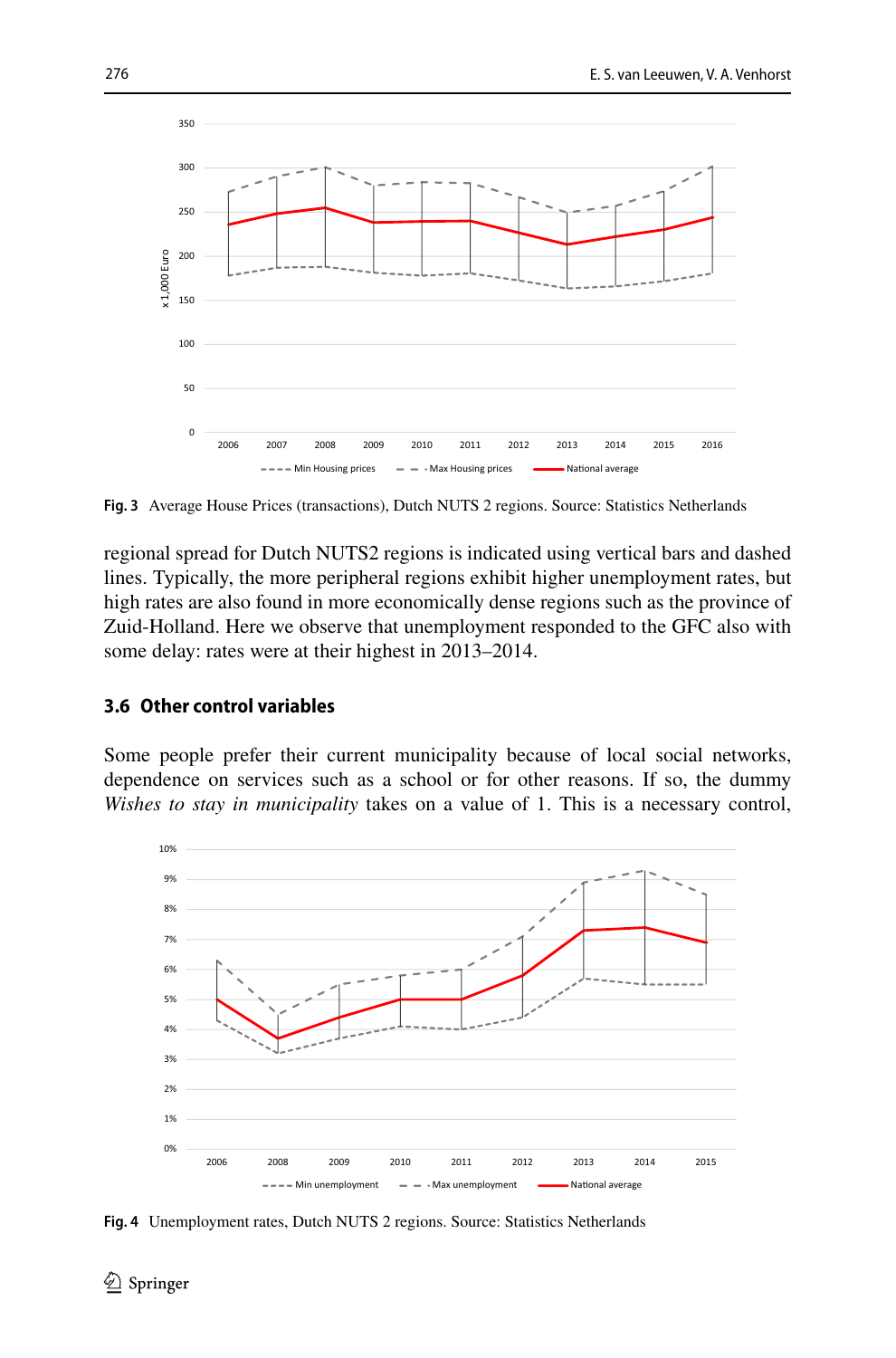

<span id="page-13-0"></span>**Fig. 3** Average House Prices (transactions), Dutch NUTS 2 regions. Source: Statistics Netherlands

regional spread for Dutch NUTS2 regions is indicated using vertical bars and dashed lines. Typically, the more peripheral regions exhibit higher unemployment rates, but high rates are also found in more economically dense regions such as the province of Zuid-Holland. Here we observe that unemployment responded to the GFC also with some delay: rates were at their highest in 2013–2014.

#### **3.6 Other control variables**

Some people prefer their current municipality because of local social networks, dependence on services such as a school or for other reasons. If so, the dummy *Wishes to stay in municipality* takes on a value of 1. This is a necessary control,



<span id="page-13-1"></span>**Fig. 4** Unemployment rates, Dutch NUTS 2 regions. Source: Statistics Netherlands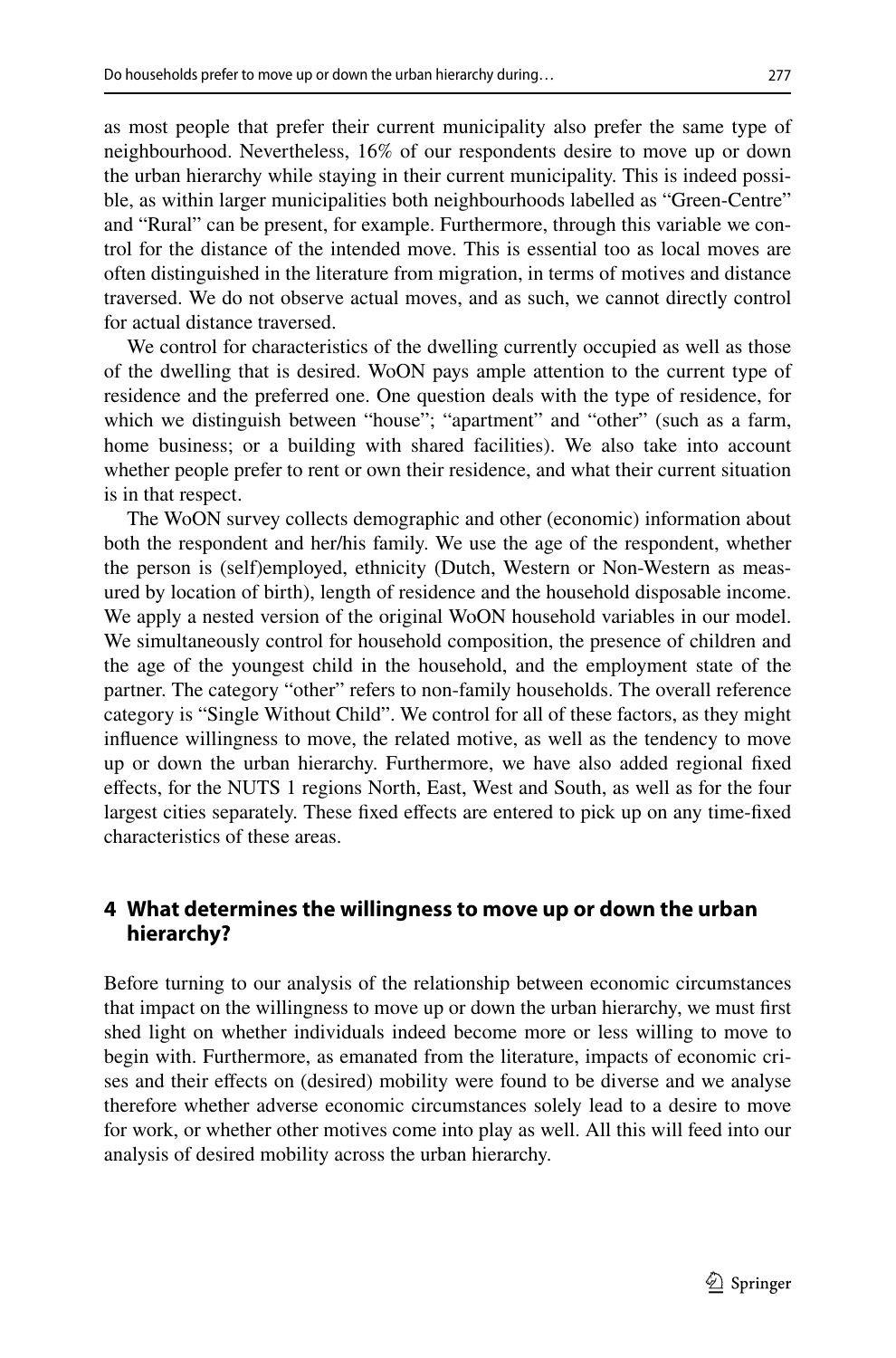as most people that prefer their current municipality also prefer the same type of neighbourhood. Nevertheless, 16% of our respondents desire to move up or down the urban hierarchy while staying in their current municipality. This is indeed possible, as within larger municipalities both neighbourhoods labelled as "Green-Centre" and "Rural" can be present, for example. Furthermore, through this variable we control for the distance of the intended move. This is essential too as local moves are often distinguished in the literature from migration, in terms of motives and distance traversed. We do not observe actual moves, and as such, we cannot directly control for actual distance traversed.

We control for characteristics of the dwelling currently occupied as well as those of the dwelling that is desired. WoON pays ample attention to the current type of residence and the preferred one. One question deals with the type of residence, for which we distinguish between "house"; "apartment" and "other" (such as a farm, home business; or a building with shared facilities). We also take into account whether people prefer to rent or own their residence, and what their current situation is in that respect.

The WoON survey collects demographic and other (economic) information about both the respondent and her/his family. We use the age of the respondent, whether the person is (self)employed, ethnicity (Dutch, Western or Non-Western as measured by location of birth), length of residence and the household disposable income. We apply a nested version of the original WoON household variables in our model. We simultaneously control for household composition, the presence of children and the age of the youngest child in the household, and the employment state of the partner. The category "other" refers to non-family households. The overall reference category is "Single Without Child". We control for all of these factors, as they might infuence willingness to move, the related motive, as well as the tendency to move up or down the urban hierarchy. Furthermore, we have also added regional fxed efects, for the NUTS 1 regions North, East, West and South, as well as for the four largest cities separately. These fxed efects are entered to pick up on any time-fxed characteristics of these areas.

# **4 What determines the willingness to move up or down the urban hierarchy?**

Before turning to our analysis of the relationship between economic circumstances that impact on the willingness to move up or down the urban hierarchy, we must frst shed light on whether individuals indeed become more or less willing to move to begin with. Furthermore, as emanated from the literature, impacts of economic crises and their efects on (desired) mobility were found to be diverse and we analyse therefore whether adverse economic circumstances solely lead to a desire to move for work, or whether other motives come into play as well. All this will feed into our analysis of desired mobility across the urban hierarchy.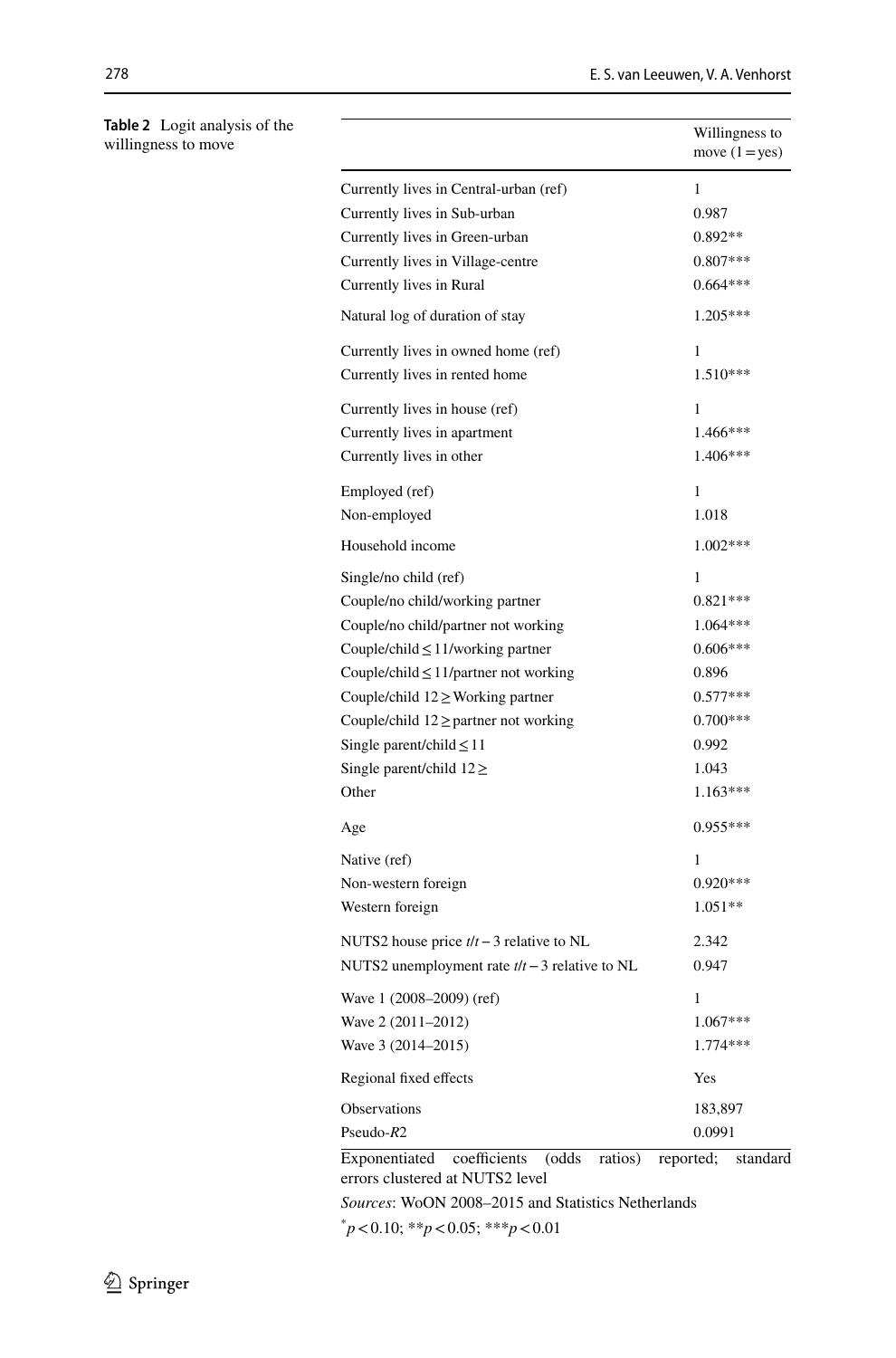|                                                    | Willingness to<br>move $(1 = yes)$ |
|----------------------------------------------------|------------------------------------|
| Currently lives in Central-urban (ref)             | $\mathbf{1}$                       |
| Currently lives in Sub-urban                       | 0.987                              |
| Currently lives in Green-urban                     | $0.892**$                          |
| Currently lives in Village-centre                  | $0.807***$                         |
| Currently lives in Rural                           | $0.664***$                         |
| Natural log of duration of stay                    | 1.205***                           |
| Currently lives in owned home (ref)                | 1                                  |
| Currently lives in rented home                     | 1.510***                           |
| Currently lives in house (ref)                     | 1                                  |
| Currently lives in apartment                       | 1.466***                           |
| Currently lives in other                           | 1.406***                           |
| Employed (ref)                                     | 1                                  |
| Non-employed                                       | 1.018                              |
| Household income                                   | $1.002***$                         |
| Single/no child (ref)                              | 1                                  |
| Couple/no child/working partner                    | $0.821***$                         |
| Couple/no child/partner not working                | $1.064***$                         |
| Couple/child $\leq$ 11/working partner             | $0.606***$                         |
| Couple/child $\leq$ 11/partner not working         | 0.896                              |
| Couple/child $12 \geq$ Working partner             | $0.577***$                         |
| Couple/child $12 \geq$ partner not working         | $0.700***$                         |
| Single parent/child $\leq$ 11                      | 0.992                              |
| Single parent/child $12 \geq$                      | 1.043                              |
| Other                                              | $1.163***$                         |
| Age                                                | $0.955***$                         |
| Native (ref)                                       | 1                                  |
| Non-western foreign                                | $0.920***$                         |
| Western foreign                                    | $1.051**$                          |
| NUTS2 house price $t/t - 3$ relative to NL         | 2.342                              |
| NUTS2 unemployment rate $t/t - 3$ relative to NL   | 0.947                              |
| Wave 1 (2008-2009) (ref)                           | 1                                  |
| Wave 2 (2011-2012)                                 | 1.067***                           |
| Wave 3 (2014–2015)                                 | 1.774 ***                          |
| Regional fixed effects                             | Yes                                |
| Observations                                       | 183,897                            |
| Pseudo- $R2$                                       | 0.0991                             |
| coefficients<br>(odds)<br>Exponentiated<br>ratios) | reported:<br>standard              |

Exponentiated coefficients (odds ratios) reported; standard errors clustered at NUTS2 level

*Sources*: WoON 2008–2015 and Statistics Netherlands

\* *p*<0.10; \*\**p*<0.05; \*\*\**p*<0.01

<span id="page-15-0"></span>**Table 2** Logit analysis of the willingness to move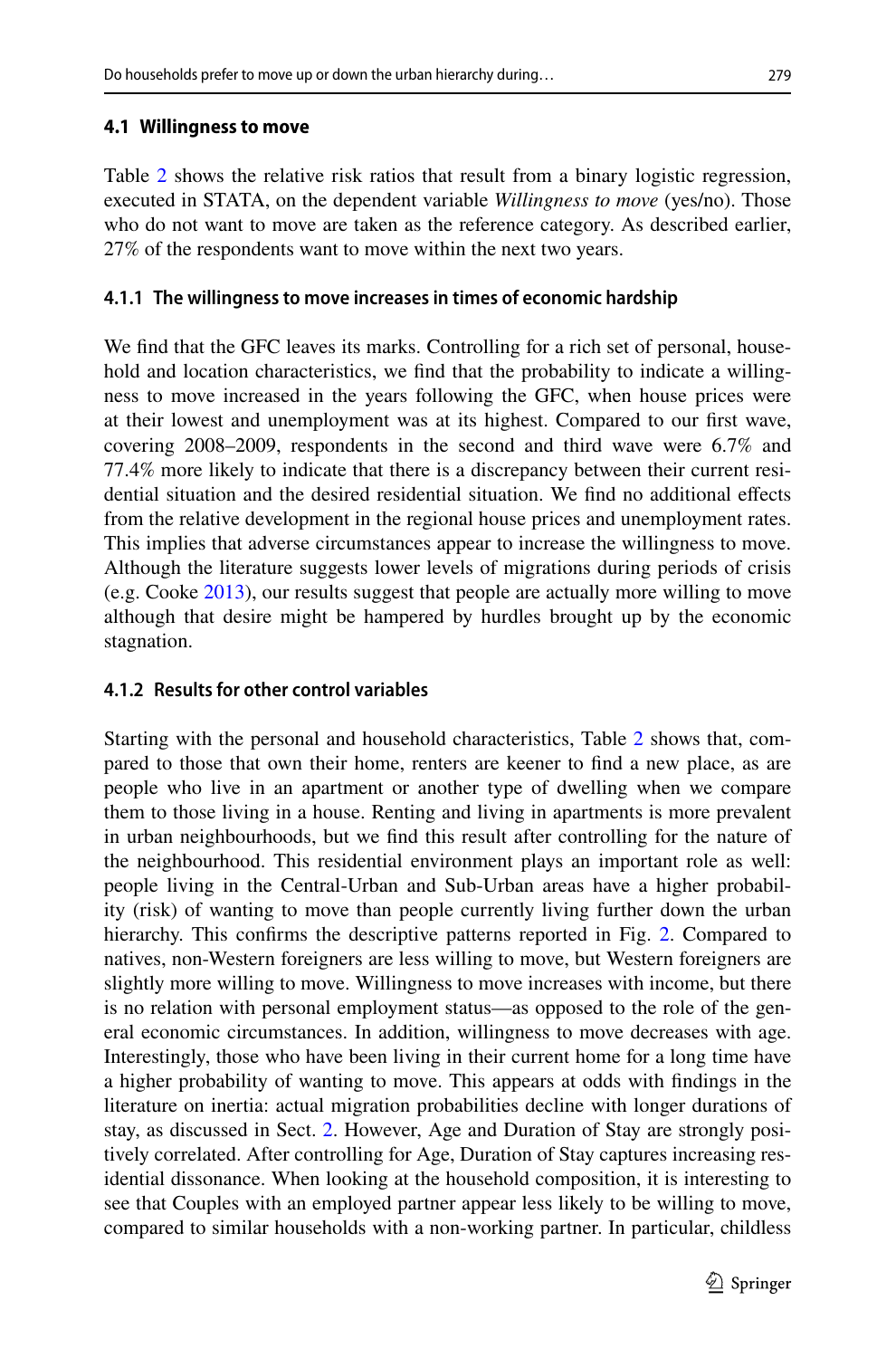Table [2](#page-15-0) shows the relative risk ratios that result from a binary logistic regression, executed in STATA, on the dependent variable *Willingness to move* (yes/no). Those who do not want to move are taken as the reference category. As described earlier, 27% of the respondents want to move within the next two years.

### **4.1.1 The willingness to move increases in times of economic hardship**

We fnd that the GFC leaves its marks. Controlling for a rich set of personal, household and location characteristics, we fnd that the probability to indicate a willingness to move increased in the years following the GFC, when house prices were at their lowest and unemployment was at its highest. Compared to our frst wave, covering 2008–2009, respondents in the second and third wave were 6.7% and 77.4% more likely to indicate that there is a discrepancy between their current residential situation and the desired residential situation. We fnd no additional efects from the relative development in the regional house prices and unemployment rates. This implies that adverse circumstances appear to increase the willingness to move. Although the literature suggests lower levels of migrations during periods of crisis (e.g. Cooke [2013](#page-25-0)), our results suggest that people are actually more willing to move although that desire might be hampered by hurdles brought up by the economic stagnation.

### **4.1.2 Results for other control variables**

Starting with the personal and household characteristics, Table [2](#page-15-0) shows that, compared to those that own their home, renters are keener to fnd a new place, as are people who live in an apartment or another type of dwelling when we compare them to those living in a house. Renting and living in apartments is more prevalent in urban neighbourhoods, but we fnd this result after controlling for the nature of the neighbourhood. This residential environment plays an important role as well: people living in the Central-Urban and Sub-Urban areas have a higher probability (risk) of wanting to move than people currently living further down the urban hierarchy. This confirms the descriptive patterns reported in Fig. [2.](#page-11-0) Compared to natives, non-Western foreigners are less willing to move, but Western foreigners are slightly more willing to move. Willingness to move increases with income, but there is no relation with personal employment status—as opposed to the role of the general economic circumstances. In addition, willingness to move decreases with age. Interestingly, those who have been living in their current home for a long time have a higher probability of wanting to move. This appears at odds with fndings in the literature on inertia: actual migration probabilities decline with longer durations of stay, as discussed in Sect. [2](#page-3-0). However, Age and Duration of Stay are strongly positively correlated. After controlling for Age, Duration of Stay captures increasing residential dissonance. When looking at the household composition, it is interesting to see that Couples with an employed partner appear less likely to be willing to move, compared to similar households with a non-working partner. In particular, childless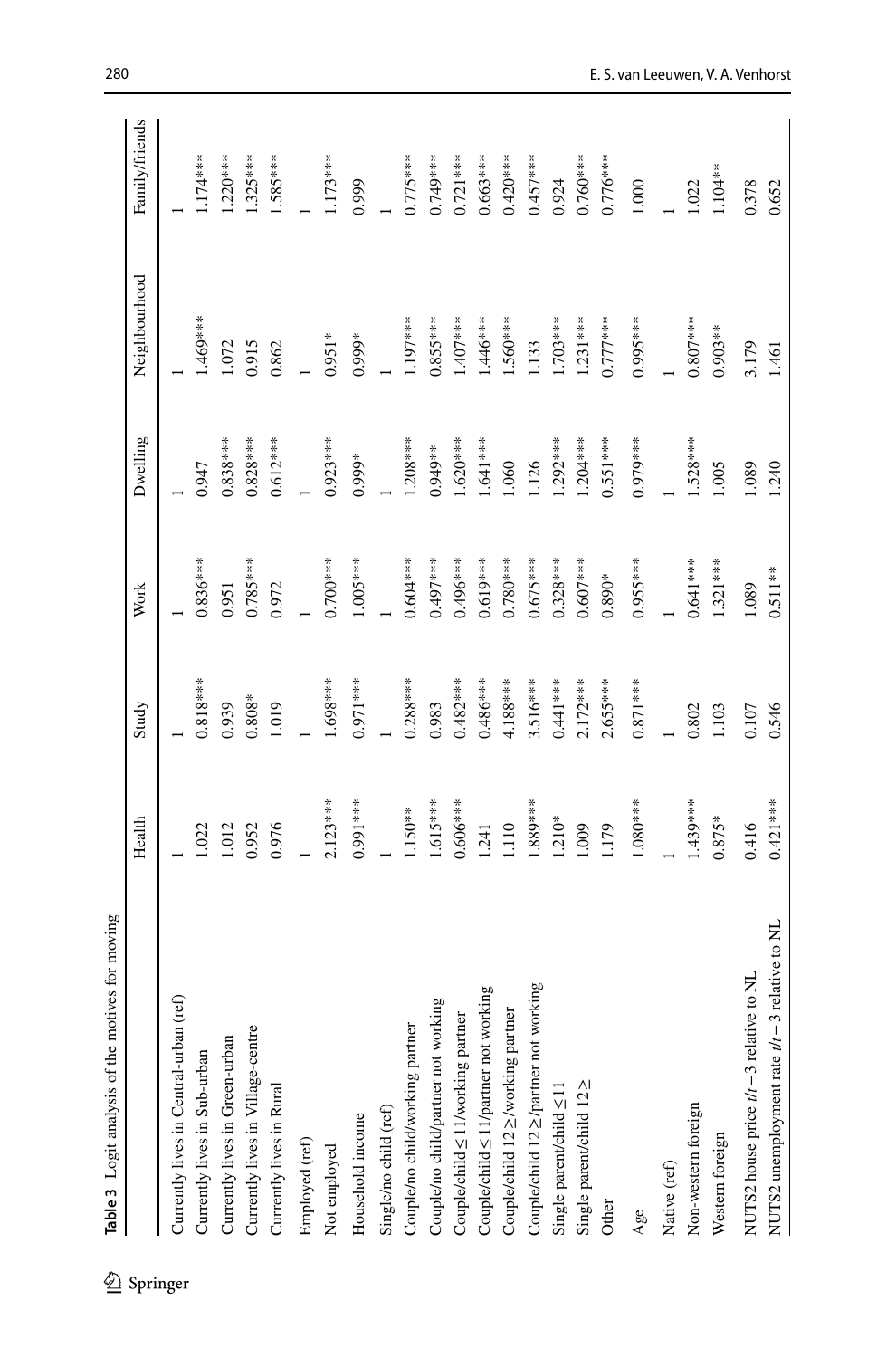<span id="page-17-0"></span>

| 丝        | Table 3 Logit analysis of the motives for moving |            |            |            |            |               |                |
|----------|--------------------------------------------------|------------|------------|------------|------------|---------------|----------------|
| Springer |                                                  | Health     | Study      | Work       | Dwelling   | Neighbourhood | Family/friends |
|          | (ref)<br>Currently lives in Central-urban        |            |            |            |            |               |                |
|          | Currently lives in Sub-urban                     | .022       | $0.818***$ | $0.836***$ | 0.947      | ***69.        | $.174***$      |
|          | Currently lives in Green-urban                   | 1.012      | 0.939      | 0.951      | $0.838***$ | 1.072         | $1.220***$     |
|          | Currently lives in Village-centre                | 0.952      | $0.808*$   | $0.785***$ | $0.828***$ | 0.915         | $.325***$      |
|          | Currently lives in Rural                         | 0.976      | 1.019      | 0.972      | $0.612***$ | 0.862         | $1.585***$     |
|          | Employed (ref)                                   |            |            |            |            |               |                |
|          | Not employed                                     | $2.123***$ | $-88***$   | $0.700***$ | $0.923***$ | $0.951*$      | $.173***$      |
|          | Household income                                 | $0.991***$ | $0.971***$ | $1.005***$ | $0.999*$   | $0.999*$      | 0.999          |
|          | Single/no child (ref)                            |            |            |            |            |               |                |
|          | Couple/no child/working partner                  | 1.50**     | $0.288***$ | $0.604***$ | $-208***$  | $.197***$     | $0.775***$     |
|          | Couple/no child/partner not working              | 1.615***   | 0.983      | $0.497***$ | 1.949**    | $0.855***$    | 0.749****      |
|          | Couple/child<br>$\leq$ 11/working partner        | $0.606***$ | $0.482***$ | 1.496***   | $1.620***$ | $407***$      | $0.721***$     |
|          | Couple/child ≤ 11/partner not working            | 1.241      | $0.486***$ | $0.619***$ | $1.641***$ | $.446***$     | $0.663***$     |
|          | Couple/child 12 ≥/working partner                | 1110       | 4.188***   | $0.780***$ | .060       | .560***       | $0.420***$     |
|          | Couple/child 12 ≥/partner not working            | $.889***$  | $3.516***$ | $0.675***$ | .126       | .133          | $0.457***$     |
|          | Single parent/child $\leq$ 11                    | $1.210*$   | $0.441***$ | $0.328***$ | $.292***$  | $.703***$     | 0.924          |
|          | Single parent/child 122                          | 1.009      | $2.172***$ | $0.607***$ | $.204***$  | $.231***$     | $0.760***$     |
|          | Other                                            | 1.179      | $2.653***$ | $0.890*$   | $0.551***$ | $0.777***$    | $0.776***$     |
|          | Age                                              | $1.080***$ | $0.871***$ | $0.955***$ | $0.979***$ | $0.995***$    | 1.000          |
|          | Native (ref)                                     |            |            |            |            |               |                |
|          | Non-western foreign                              | $1.439***$ | 0.802      | $0.641***$ | $.528***$  | $0.807***$    | 1.022          |
|          | Western foreign                                  | $0.875*$   | 1.103      | $1.321***$ | 1.005      | $0.903**$     | $1.104**$      |
|          | NUTS2 house price t/t - 3 relative to NL         | 0.416      | 0.107      | 1.089      | 1.089      | 3.179         | 0.378          |
|          | 3 relative to NL<br>NUTS2 unemployment rate t/t- | $0.421***$ | 0.546      | $0.511**$  | 1.240      | 1.461         | 0.652          |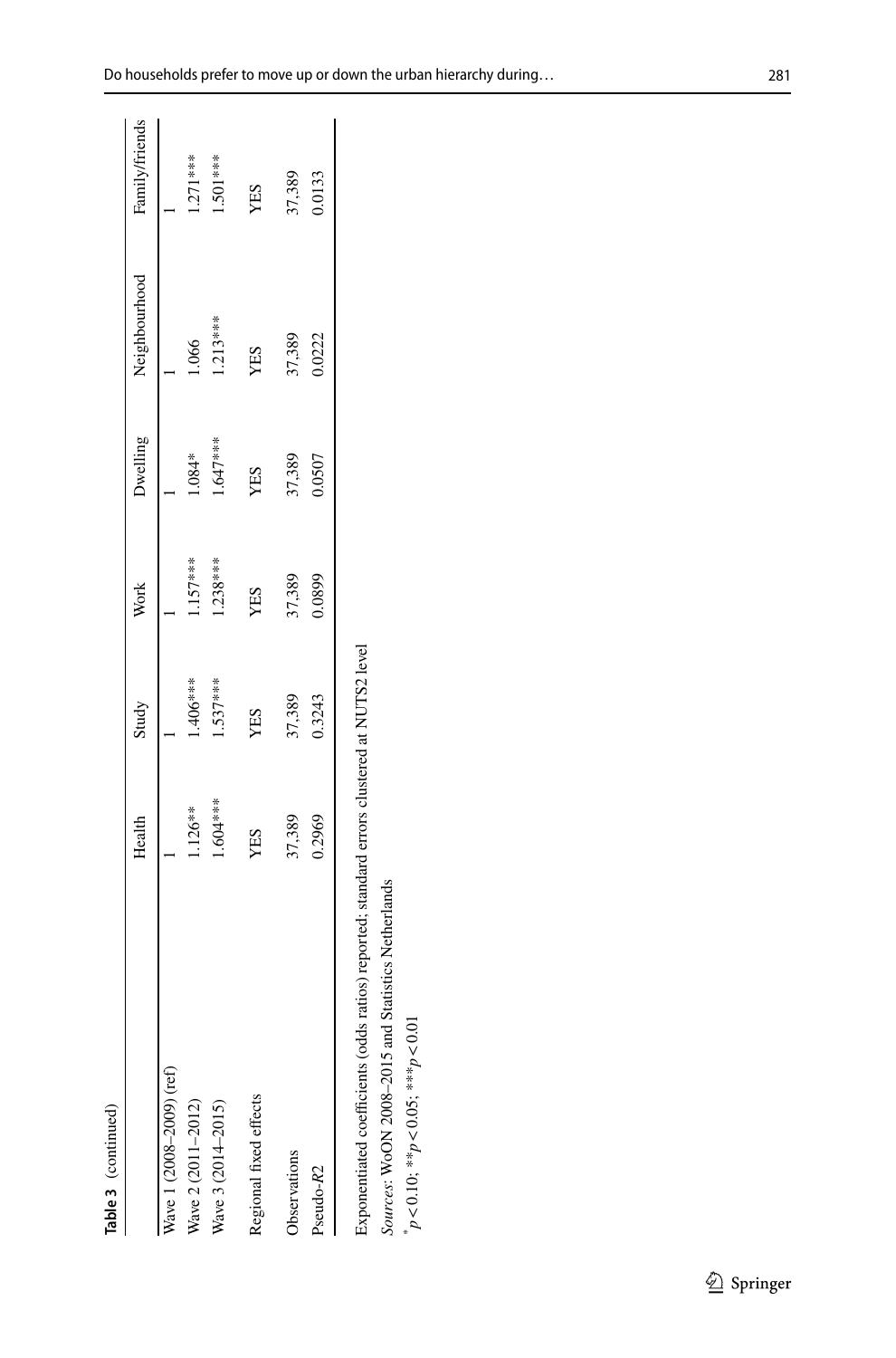| nortiminar. |  |
|-------------|--|
|             |  |
| ľ           |  |

| Table 3 (continued)                                                                                                                               |           |            |            |          |               |                |
|---------------------------------------------------------------------------------------------------------------------------------------------------|-----------|------------|------------|----------|---------------|----------------|
|                                                                                                                                                   | Health    | Study      | Work       | Dwelling | Neighbourhood | Family/friends |
| Wave 1 (2008-2009) (ref)                                                                                                                          |           |            |            |          |               |                |
| Wave 2 (2011-2012)                                                                                                                                | 1.126**   | 1.406***   | $1.157***$ | 1.084*   | 1.066         | $1.271***$     |
| Wave 3 (2014-2015)                                                                                                                                | 1.604**** | $1.537***$ | $1.238***$ | 1.647*** | $1.213***$    | 1.501 ***      |
| Regional fixed effects                                                                                                                            | YES       | YES        | YES        | YES      | YES           | YES            |
| <b>D</b> bservations                                                                                                                              | 37,389    | 37,389     | 37,389     | 37,389   | 37,389        | 37,389         |
| Pseudo-R2                                                                                                                                         | 0.2969    | 0.3243     | 0.0899     | 0.0507   | 0.0222        | 0.0133         |
| Exponentiated coefficients (odds ratios) reported; standard errors clustered at NUTS2 level<br>Sources: WoON 2008-2015 and Statistics Netherlands |           |            |            |          |               |                |
| $p < 0.10;$ ** $p < 0.05;$ ** $p < 0.01$                                                                                                          |           |            |            |          |               |                |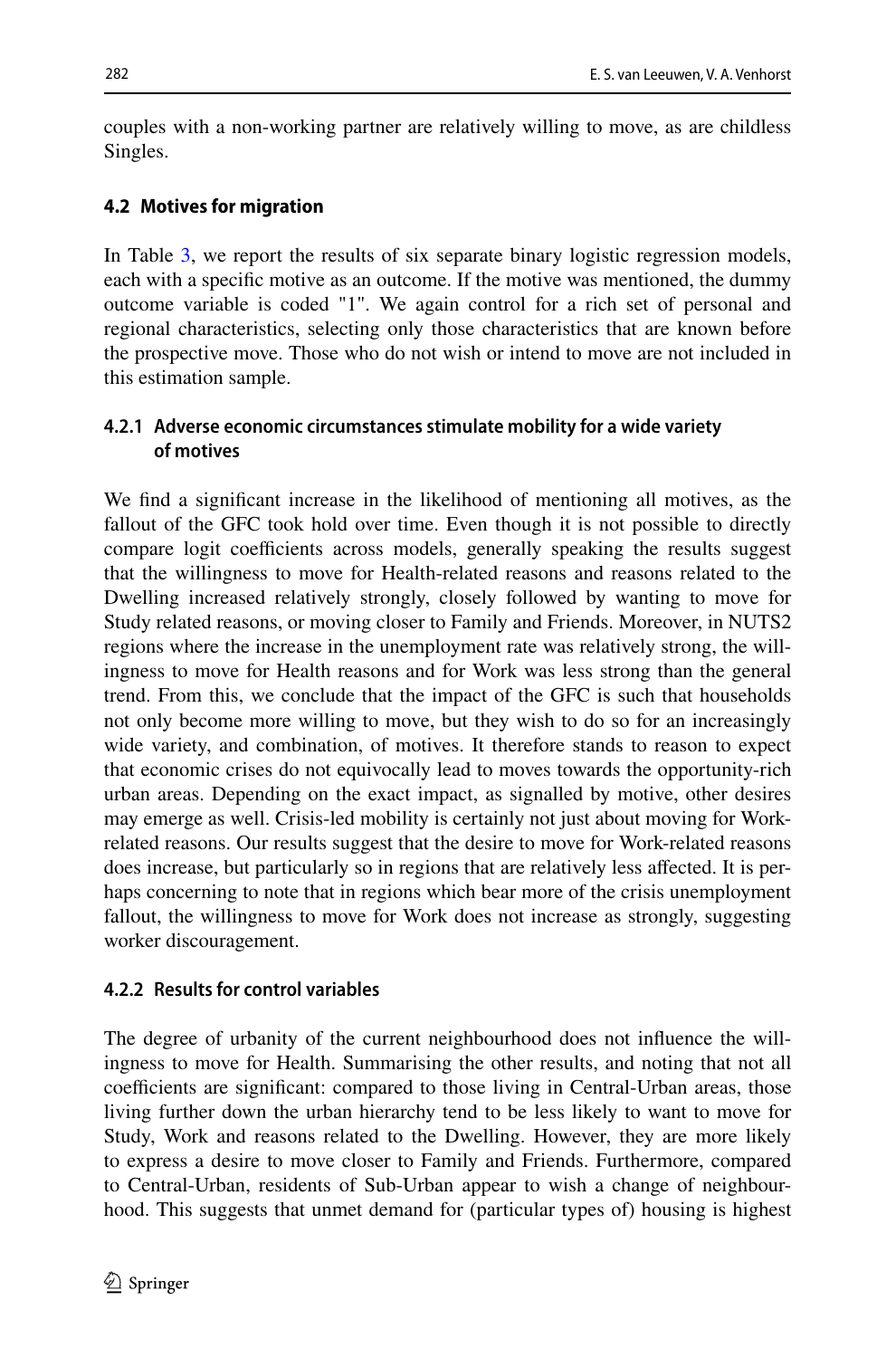couples with a non-working partner are relatively willing to move, as are childless Singles.

# **4.2 Motives for migration**

In Table [3,](#page-17-0) we report the results of six separate binary logistic regression models, each with a specifc motive as an outcome. If the motive was mentioned, the dummy outcome variable is coded "1". We again control for a rich set of personal and regional characteristics, selecting only those characteristics that are known before the prospective move. Those who do not wish or intend to move are not included in this estimation sample.

# **4.2.1 Adverse economic circumstances stimulate mobility for a wide variety of motives**

We fnd a signifcant increase in the likelihood of mentioning all motives, as the fallout of the GFC took hold over time. Even though it is not possible to directly compare logit coefficients across models, generally speaking the results suggest that the willingness to move for Health-related reasons and reasons related to the Dwelling increased relatively strongly, closely followed by wanting to move for Study related reasons, or moving closer to Family and Friends. Moreover, in NUTS2 regions where the increase in the unemployment rate was relatively strong, the willingness to move for Health reasons and for Work was less strong than the general trend. From this, we conclude that the impact of the GFC is such that households not only become more willing to move, but they wish to do so for an increasingly wide variety, and combination, of motives. It therefore stands to reason to expect that economic crises do not equivocally lead to moves towards the opportunity-rich urban areas. Depending on the exact impact, as signalled by motive, other desires may emerge as well. Crisis-led mobility is certainly not just about moving for Workrelated reasons. Our results suggest that the desire to move for Work-related reasons does increase, but particularly so in regions that are relatively less afected. It is perhaps concerning to note that in regions which bear more of the crisis unemployment fallout, the willingness to move for Work does not increase as strongly, suggesting worker discouragement.

# **4.2.2 Results for control variables**

The degree of urbanity of the current neighbourhood does not infuence the willingness to move for Health. Summarising the other results, and noting that not all coefficients are significant: compared to those living in Central-Urban areas, those living further down the urban hierarchy tend to be less likely to want to move for Study, Work and reasons related to the Dwelling. However, they are more likely to express a desire to move closer to Family and Friends. Furthermore, compared to Central-Urban, residents of Sub-Urban appear to wish a change of neighbourhood. This suggests that unmet demand for (particular types of) housing is highest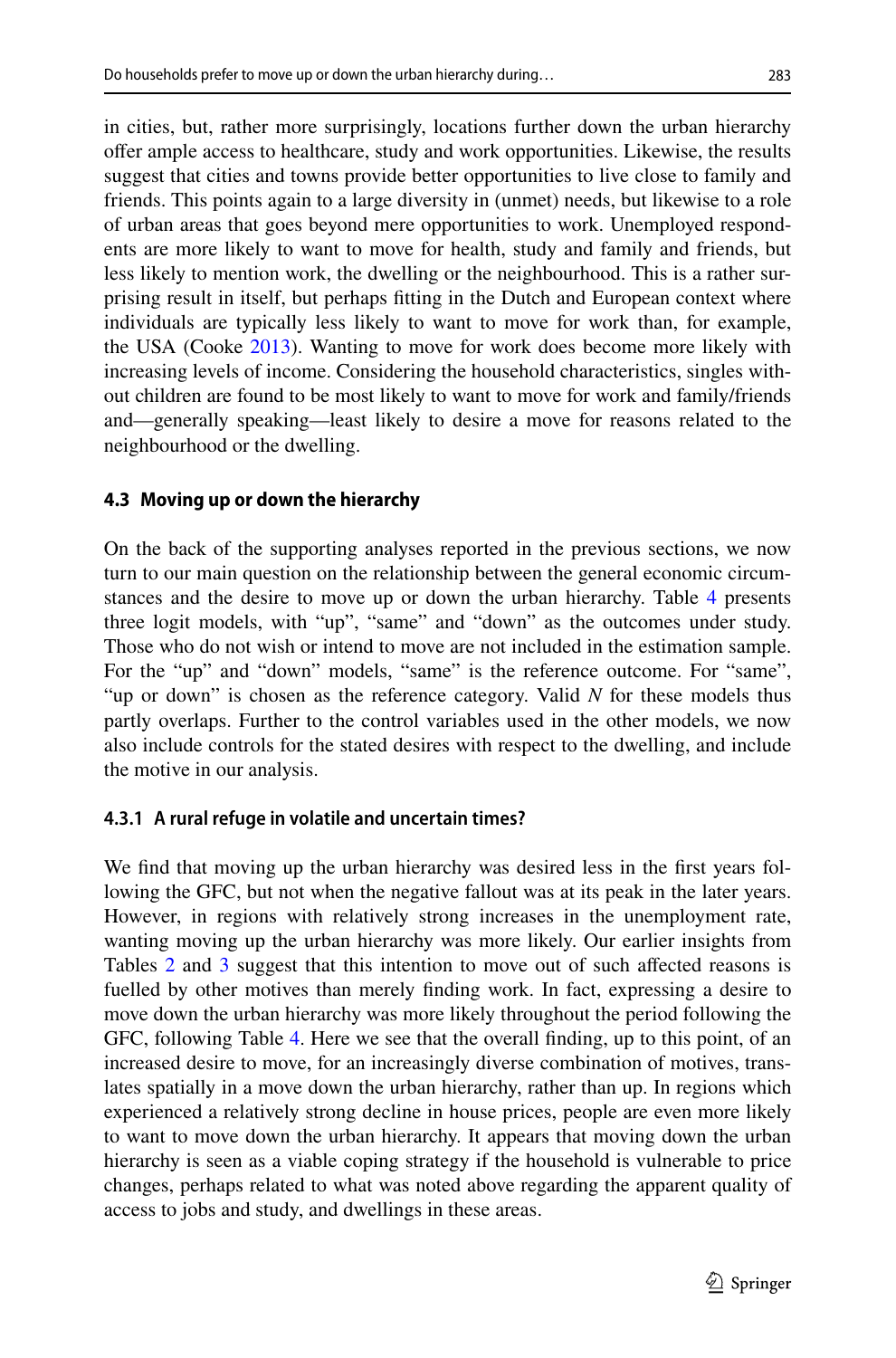in cities, but, rather more surprisingly, locations further down the urban hierarchy ofer ample access to healthcare, study and work opportunities. Likewise, the results suggest that cities and towns provide better opportunities to live close to family and friends. This points again to a large diversity in (unmet) needs, but likewise to a role of urban areas that goes beyond mere opportunities to work. Unemployed respondents are more likely to want to move for health, study and family and friends, but less likely to mention work, the dwelling or the neighbourhood. This is a rather surprising result in itself, but perhaps ftting in the Dutch and European context where individuals are typically less likely to want to move for work than, for example, the USA (Cooke [2013\)](#page-25-0). Wanting to move for work does become more likely with increasing levels of income. Considering the household characteristics, singles without children are found to be most likely to want to move for work and family/friends and—generally speaking—least likely to desire a move for reasons related to the neighbourhood or the dwelling.

# **4.3 Moving up or down the hierarchy**

On the back of the supporting analyses reported in the previous sections, we now turn to our main question on the relationship between the general economic circumstances and the desire to move up or down the urban hierarchy. Table [4](#page-21-0) presents three logit models, with "up", "same" and "down" as the outcomes under study. Those who do not wish or intend to move are not included in the estimation sample. For the "up" and "down" models, "same" is the reference outcome. For "same", "up or down" is chosen as the reference category. Valid *N* for these models thus partly overlaps. Further to the control variables used in the other models, we now also include controls for the stated desires with respect to the dwelling, and include the motive in our analysis.

# **4.3.1 A rural refuge in volatile and uncertain times?**

We find that moving up the urban hierarchy was desired less in the first years following the GFC, but not when the negative fallout was at its peak in the later years. However, in regions with relatively strong increases in the unemployment rate, wanting moving up the urban hierarchy was more likely. Our earlier insights from Tables [2](#page-15-0) and [3](#page-17-0) suggest that this intention to move out of such afected reasons is fuelled by other motives than merely fnding work. In fact, expressing a desire to move down the urban hierarchy was more likely throughout the period following the GFC, following Table [4](#page-21-0). Here we see that the overall fnding, up to this point, of an increased desire to move, for an increasingly diverse combination of motives, translates spatially in a move down the urban hierarchy, rather than up. In regions which experienced a relatively strong decline in house prices, people are even more likely to want to move down the urban hierarchy. It appears that moving down the urban hierarchy is seen as a viable coping strategy if the household is vulnerable to price changes, perhaps related to what was noted above regarding the apparent quality of access to jobs and study, and dwellings in these areas.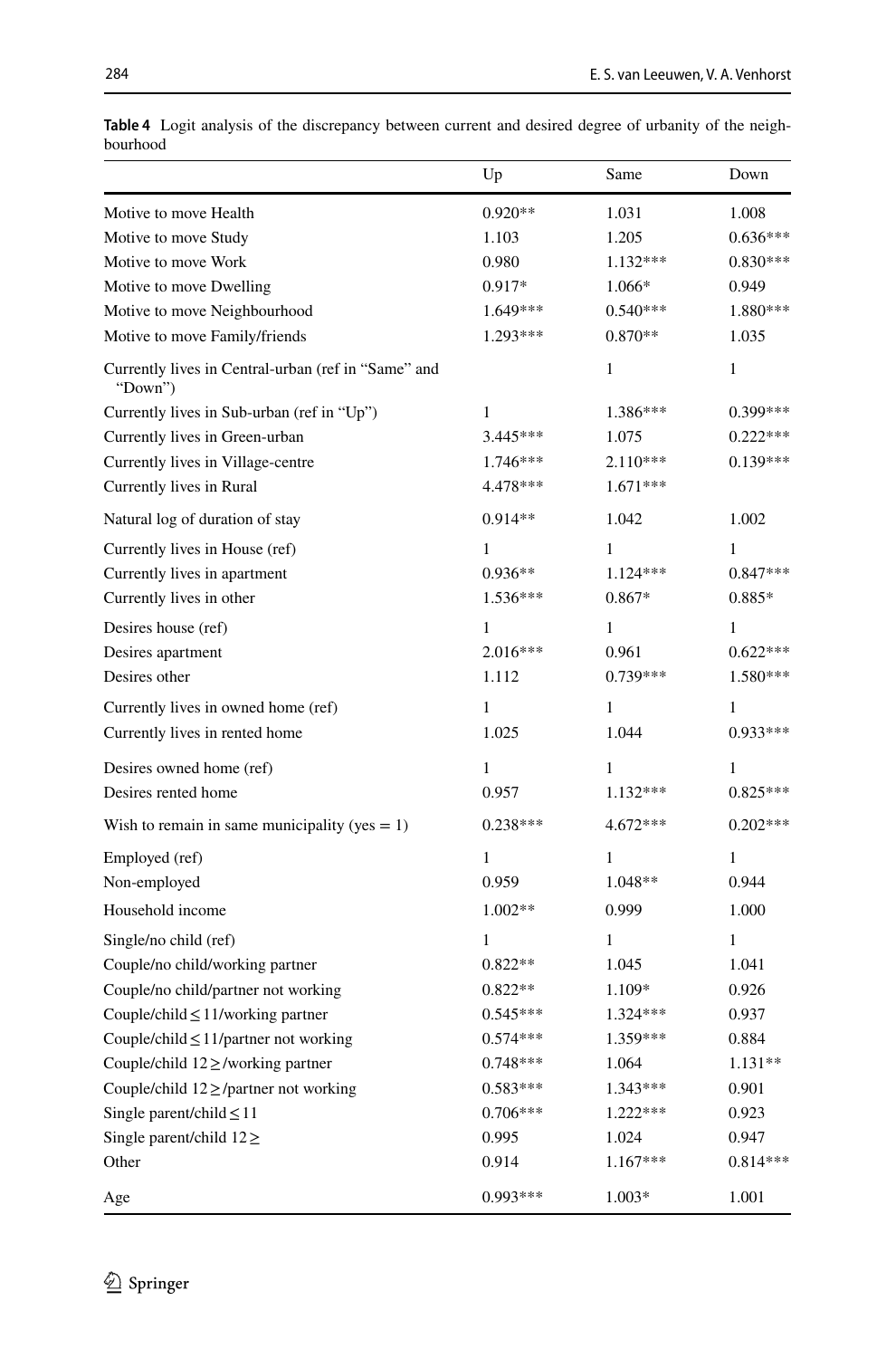|                                                                | Up           | Same       | Down         |
|----------------------------------------------------------------|--------------|------------|--------------|
| Motive to move Health                                          | $0.920**$    | 1.031      | 1.008        |
| Motive to move Study                                           | 1.103        | 1.205      | $0.636***$   |
| Motive to move Work                                            | 0.980        | $1.132***$ | $0.830***$   |
| Motive to move Dwelling                                        | $0.917*$     | 1.066*     | 0.949        |
| Motive to move Neighbourhood                                   | 1.649***     | $0.540***$ | 1.880***     |
| Motive to move Family/friends                                  | $1.293***$   | $0.870**$  | 1.035        |
| Currently lives in Central-urban (ref in "Same" and<br>"Down") |              | 1          | $\mathbf{1}$ |
| Currently lives in Sub-urban (ref in "Up")                     | 1            | 1.386***   | $0.399***$   |
| Currently lives in Green-urban                                 | $3.445***$   | 1.075      | $0.222***$   |
| Currently lives in Village-centre                              | $1.746***$   | $2.110***$ | $0.139***$   |
| Currently lives in Rural                                       | 4.478***     | $1.671***$ |              |
| Natural log of duration of stay                                | $0.914**$    | 1.042      | 1.002        |
| Currently lives in House (ref)                                 | $\mathbf{1}$ | 1          | 1            |
| Currently lives in apartment                                   | $0.936**$    | $1.124***$ | $0.847***$   |
| Currently lives in other                                       | $1.536***$   | $0.867*$   | 0.885*       |
| Desires house (ref)                                            | 1            | 1          | 1            |
| Desires apartment                                              | $2.016***$   | 0.961      | $0.622***$   |
| Desires other                                                  | 1.112        | $0.739***$ | 1.580***     |
| Currently lives in owned home (ref)                            | $\mathbf{1}$ | 1          | $\mathbf{1}$ |
| Currently lives in rented home                                 | 1.025        | 1.044      | $0.933***$   |
| Desires owned home (ref)                                       | 1            | 1          | 1            |
| Desires rented home                                            | 0.957        | $1.132***$ | $0.825***$   |
| Wish to remain in same municipality (yes $= 1$ )               | $0.238***$   | 4.672***   | $0.202***$   |
| Employed (ref)                                                 | $\mathbf{1}$ | 1          | $\mathbf{1}$ |
| Non-employed                                                   | 0.959        | 1.048**    | 0.944        |
| Household income                                               | $1.002**$    | 0.999      | 1.000        |
| Single/no child (ref)                                          | 1            | 1          | $\mathbf{1}$ |
| Couple/no child/working partner                                | $0.822**$    | 1.045      | 1.041        |
| Couple/no child/partner not working                            | $0.822**$    | 1.109*     | 0.926        |
| Couple/child $\leq$ 11/working partner                         | $0.545***$   | $1.324***$ | 0.937        |
| Couple/child $\leq$ 11/partner not working                     | $0.574***$   | 1.359***   | 0.884        |
| Couple/child $12 \ge$ /working partner                         | $0.748***$   | 1.064      | $1.131**$    |
| Couple/child $12 \ge$ /partner not working                     | $0.583***$   | $1.343***$ | 0.901        |
| Single parent/child $\leq$ 11                                  | $0.706***$   | $1.222***$ | 0.923        |
| Single parent/child $12 \geq$                                  | 0.995        | 1.024      | 0.947        |
| Other                                                          | 0.914        | $1.167***$ | $0.814***$   |
| Age                                                            | $0.993***$   | 1.003*     | 1.001        |

<span id="page-21-0"></span>**Table 4** Logit analysis of the discrepancy between current and desired degree of urbanity of the neighbourhood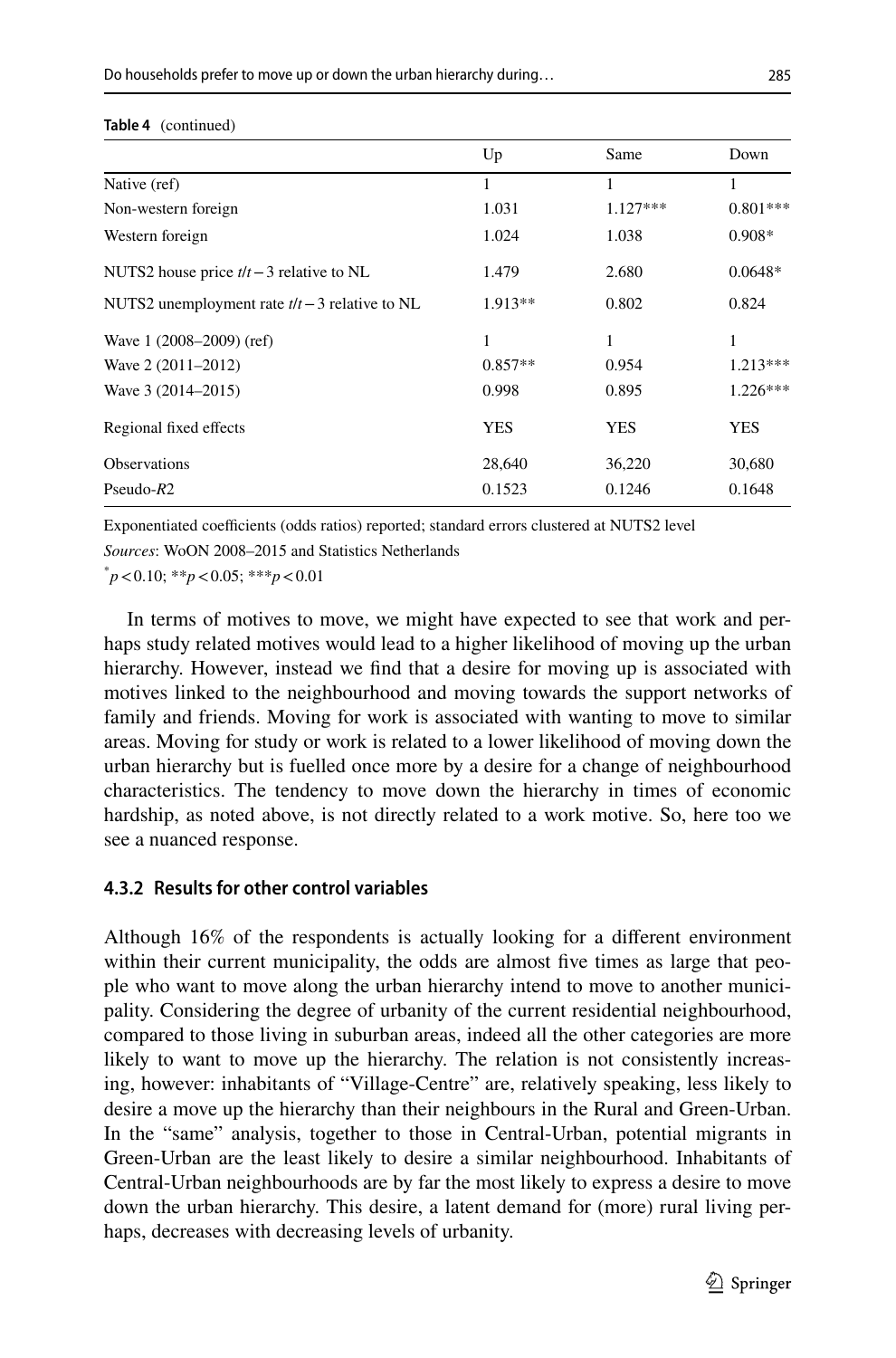#### **Table 4** (continued)

|                                                  | Up         | Same       | Down       |
|--------------------------------------------------|------------|------------|------------|
| Native (ref)                                     | 1          | 1          | 1          |
| Non-western foreign                              | 1.031      | $1.127***$ | $0.801***$ |
| Western foreign                                  | 1.024      | 1.038      | $0.908*$   |
| NUTS2 house price $t/t - 3$ relative to NL       | 1.479      | 2.680      | $0.0648*$  |
| NUTS2 unemployment rate $t/t - 3$ relative to NL | $1.913**$  | 0.802      | 0.824      |
| Wave 1 (2008–2009) (ref)                         | 1          | 1          | 1          |
| Wave 2 (2011–2012)                               | $0.857**$  | 0.954      | $1.213***$ |
| Wave 3 (2014–2015)                               | 0.998      | 0.895      | $1.226***$ |
| Regional fixed effects                           | <b>YES</b> | <b>YES</b> | <b>YES</b> |
| <b>Observations</b>                              | 28,640     | 36,220     | 30,680     |
| Pseudo- $R2$                                     | 0.1523     | 0.1246     | 0.1648     |

Exponentiated coefficients (odds ratios) reported; standard errors clustered at NUTS2 level

*Sources*: WoON 2008–2015 and Statistics Netherlands

\* *p*<0.10; \*\**p*<0.05; \*\*\**p*<0.01

In terms of motives to move, we might have expected to see that work and perhaps study related motives would lead to a higher likelihood of moving up the urban hierarchy. However, instead we fnd that a desire for moving up is associated with motives linked to the neighbourhood and moving towards the support networks of family and friends. Moving for work is associated with wanting to move to similar areas. Moving for study or work is related to a lower likelihood of moving down the urban hierarchy but is fuelled once more by a desire for a change of neighbourhood characteristics. The tendency to move down the hierarchy in times of economic hardship, as noted above, is not directly related to a work motive. So, here too we see a nuanced response.

### **4.3.2 Results for other control variables**

Although 16% of the respondents is actually looking for a diferent environment within their current municipality, the odds are almost five times as large that people who want to move along the urban hierarchy intend to move to another municipality. Considering the degree of urbanity of the current residential neighbourhood, compared to those living in suburban areas, indeed all the other categories are more likely to want to move up the hierarchy. The relation is not consistently increasing, however: inhabitants of "Village-Centre" are, relatively speaking, less likely to desire a move up the hierarchy than their neighbours in the Rural and Green-Urban. In the "same" analysis, together to those in Central-Urban, potential migrants in Green-Urban are the least likely to desire a similar neighbourhood. Inhabitants of Central-Urban neighbourhoods are by far the most likely to express a desire to move down the urban hierarchy. This desire, a latent demand for (more) rural living perhaps, decreases with decreasing levels of urbanity.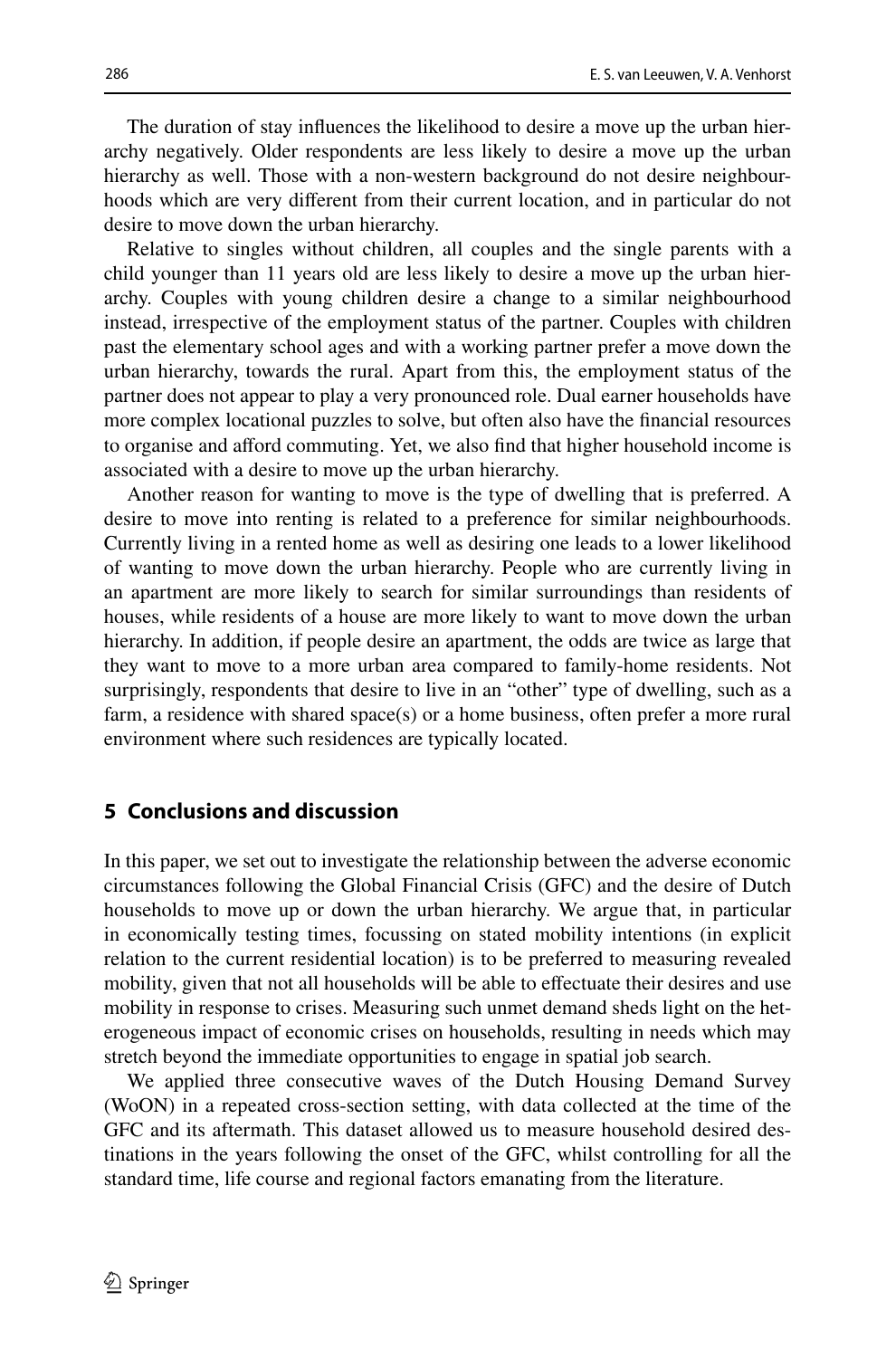The duration of stay infuences the likelihood to desire a move up the urban hierarchy negatively. Older respondents are less likely to desire a move up the urban hierarchy as well. Those with a non-western background do not desire neighbourhoods which are very diferent from their current location, and in particular do not desire to move down the urban hierarchy.

Relative to singles without children, all couples and the single parents with a child younger than 11 years old are less likely to desire a move up the urban hierarchy. Couples with young children desire a change to a similar neighbourhood instead, irrespective of the employment status of the partner. Couples with children past the elementary school ages and with a working partner prefer a move down the urban hierarchy, towards the rural. Apart from this, the employment status of the partner does not appear to play a very pronounced role. Dual earner households have more complex locational puzzles to solve, but often also have the fnancial resources to organise and aford commuting. Yet, we also fnd that higher household income is associated with a desire to move up the urban hierarchy.

Another reason for wanting to move is the type of dwelling that is preferred. A desire to move into renting is related to a preference for similar neighbourhoods. Currently living in a rented home as well as desiring one leads to a lower likelihood of wanting to move down the urban hierarchy. People who are currently living in an apartment are more likely to search for similar surroundings than residents of houses, while residents of a house are more likely to want to move down the urban hierarchy. In addition, if people desire an apartment, the odds are twice as large that they want to move to a more urban area compared to family-home residents. Not surprisingly, respondents that desire to live in an "other" type of dwelling, such as a farm, a residence with shared space(s) or a home business, often prefer a more rural environment where such residences are typically located.

# **5 Conclusions and discussion**

In this paper, we set out to investigate the relationship between the adverse economic circumstances following the Global Financial Crisis (GFC) and the desire of Dutch households to move up or down the urban hierarchy. We argue that, in particular in economically testing times, focussing on stated mobility intentions (in explicit relation to the current residential location) is to be preferred to measuring revealed mobility, given that not all households will be able to efectuate their desires and use mobility in response to crises. Measuring such unmet demand sheds light on the heterogeneous impact of economic crises on households, resulting in needs which may stretch beyond the immediate opportunities to engage in spatial job search.

We applied three consecutive waves of the Dutch Housing Demand Survey (WoON) in a repeated cross-section setting, with data collected at the time of the GFC and its aftermath. This dataset allowed us to measure household desired destinations in the years following the onset of the GFC, whilst controlling for all the standard time, life course and regional factors emanating from the literature.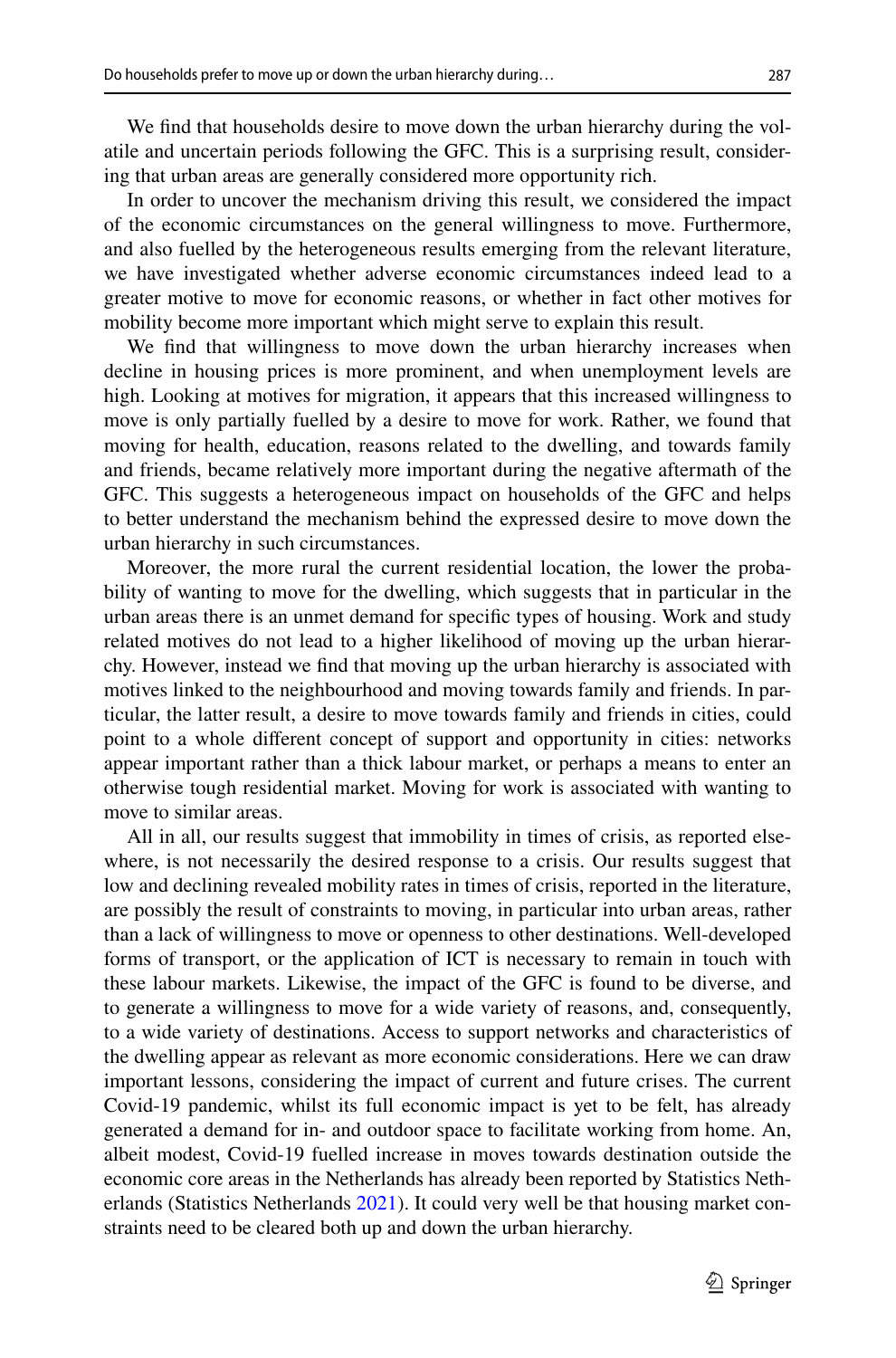We fnd that households desire to move down the urban hierarchy during the volatile and uncertain periods following the GFC. This is a surprising result, considering that urban areas are generally considered more opportunity rich.

In order to uncover the mechanism driving this result, we considered the impact of the economic circumstances on the general willingness to move. Furthermore, and also fuelled by the heterogeneous results emerging from the relevant literature, we have investigated whether adverse economic circumstances indeed lead to a greater motive to move for economic reasons, or whether in fact other motives for mobility become more important which might serve to explain this result.

We fnd that willingness to move down the urban hierarchy increases when decline in housing prices is more prominent, and when unemployment levels are high. Looking at motives for migration, it appears that this increased willingness to move is only partially fuelled by a desire to move for work. Rather, we found that moving for health, education, reasons related to the dwelling, and towards family and friends, became relatively more important during the negative aftermath of the GFC. This suggests a heterogeneous impact on households of the GFC and helps to better understand the mechanism behind the expressed desire to move down the urban hierarchy in such circumstances.

Moreover, the more rural the current residential location, the lower the probability of wanting to move for the dwelling, which suggests that in particular in the urban areas there is an unmet demand for specifc types of housing. Work and study related motives do not lead to a higher likelihood of moving up the urban hierarchy. However, instead we fnd that moving up the urban hierarchy is associated with motives linked to the neighbourhood and moving towards family and friends. In particular, the latter result, a desire to move towards family and friends in cities, could point to a whole diferent concept of support and opportunity in cities: networks appear important rather than a thick labour market, or perhaps a means to enter an otherwise tough residential market. Moving for work is associated with wanting to move to similar areas.

All in all, our results suggest that immobility in times of crisis, as reported elsewhere, is not necessarily the desired response to a crisis. Our results suggest that low and declining revealed mobility rates in times of crisis, reported in the literature, are possibly the result of constraints to moving, in particular into urban areas, rather than a lack of willingness to move or openness to other destinations. Well-developed forms of transport, or the application of ICT is necessary to remain in touch with these labour markets. Likewise, the impact of the GFC is found to be diverse, and to generate a willingness to move for a wide variety of reasons, and, consequently, to a wide variety of destinations. Access to support networks and characteristics of the dwelling appear as relevant as more economic considerations. Here we can draw important lessons, considering the impact of current and future crises. The current Covid-19 pandemic, whilst its full economic impact is yet to be felt, has already generated a demand for in- and outdoor space to facilitate working from home. An, albeit modest, Covid-19 fuelled increase in moves towards destination outside the economic core areas in the Netherlands has already been reported by Statistics Netherlands (Statistics Netherlands [2021\)](#page-26-19). It could very well be that housing market constraints need to be cleared both up and down the urban hierarchy.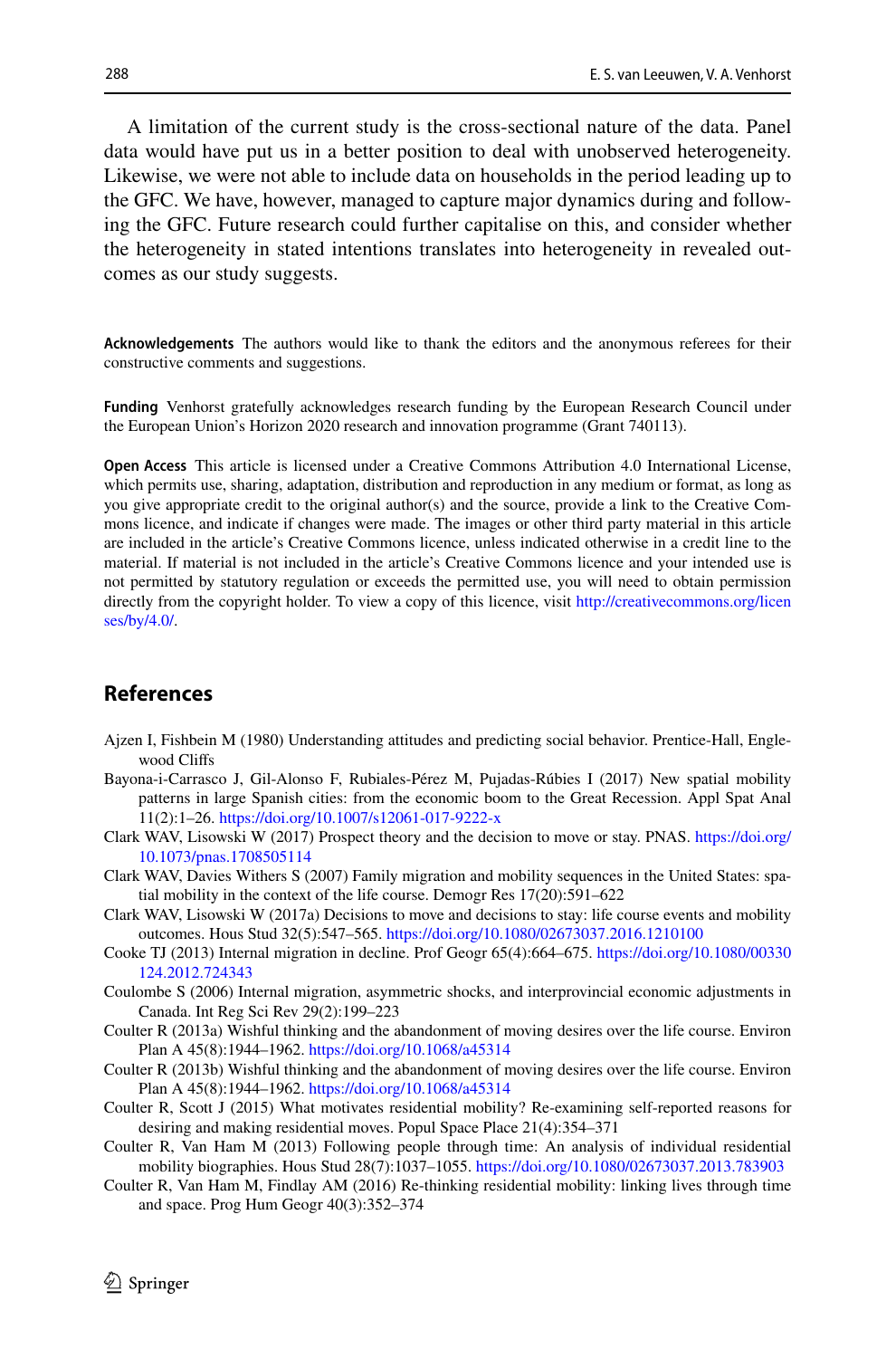A limitation of the current study is the cross-sectional nature of the data. Panel data would have put us in a better position to deal with unobserved heterogeneity. Likewise, we were not able to include data on households in the period leading up to the GFC. We have, however, managed to capture major dynamics during and following the GFC. Future research could further capitalise on this, and consider whether the heterogeneity in stated intentions translates into heterogeneity in revealed outcomes as our study suggests.

**Acknowledgements** The authors would like to thank the editors and the anonymous referees for their constructive comments and suggestions.

**Funding** Venhorst gratefully acknowledges research funding by the European Research Council under the European Union's Horizon 2020 research and innovation programme (Grant 740113).

**Open Access** This article is licensed under a Creative Commons Attribution 4.0 International License, which permits use, sharing, adaptation, distribution and reproduction in any medium or format, as long as you give appropriate credit to the original author(s) and the source, provide a link to the Creative Commons licence, and indicate if changes were made. The images or other third party material in this article are included in the article's Creative Commons licence, unless indicated otherwise in a credit line to the material. If material is not included in the article's Creative Commons licence and your intended use is not permitted by statutory regulation or exceeds the permitted use, you will need to obtain permission directly from the copyright holder. To view a copy of this licence, visit [http://creativecommons.org/licen](http://creativecommons.org/licenses/by/4.0/) [ses/by/4.0/](http://creativecommons.org/licenses/by/4.0/).

# **References**

- <span id="page-25-2"></span>Ajzen I, Fishbein M (1980) Understanding attitudes and predicting social behavior. Prentice-Hall, Englewood Clifs
- <span id="page-25-6"></span>Bayona-i-Carrasco J, Gil-Alonso F, Rubiales-Pérez M, Pujadas-Rúbies I (2017) New spatial mobility patterns in large Spanish cities: from the economic boom to the Great Recession. Appl Spat Anal 11(2):1–26. <https://doi.org/10.1007/s12061-017-9222-x>
- <span id="page-25-5"></span>Clark WAV, Lisowski W (2017) Prospect theory and the decision to move or stay. PNAS. [https://doi.org/](https://doi.org/10.1073/pnas.1708505114) [10.1073/pnas.1708505114](https://doi.org/10.1073/pnas.1708505114)
- <span id="page-25-8"></span>Clark WAV, Davies Withers S (2007) Family migration and mobility sequences in the United States: spatial mobility in the context of the life course. Demogr Res 17(20):591–622
- <span id="page-25-4"></span>Clark WAV, Lisowski W (2017a) Decisions to move and decisions to stay: life course events and mobility outcomes. Hous Stud 32(5):547–565. <https://doi.org/10.1080/02673037.2016.1210100>
- <span id="page-25-0"></span>Cooke TJ (2013) Internal migration in decline. Prof Geogr 65(4):664–675. [https://doi.org/10.1080/00330](https://doi.org/10.1080/00330124.2012.724343) [124.2012.724343](https://doi.org/10.1080/00330124.2012.724343)
- <span id="page-25-3"></span>Coulombe S (2006) Internal migration, asymmetric shocks, and interprovincial economic adjustments in Canada. Int Reg Sci Rev 29(2):199–223
- <span id="page-25-10"></span>Coulter R (2013a) Wishful thinking and the abandonment of moving desires over the life course. Environ Plan A 45(8):1944–1962. <https://doi.org/10.1068/a45314>
- <span id="page-25-9"></span>Coulter R (2013b) Wishful thinking and the abandonment of moving desires over the life course. Environ Plan A 45(8):1944–1962. <https://doi.org/10.1068/a45314>
- <span id="page-25-7"></span>Coulter R, Scott J (2015) What motivates residential mobility? Re-examining self-reported reasons for desiring and making residential moves. Popul Space Place 21(4):354–371
- <span id="page-25-11"></span>Coulter R, Van Ham M (2013) Following people through time: An analysis of individual residential mobility biographies. Hous Stud 28(7):1037–1055. <https://doi.org/10.1080/02673037.2013.783903>
- <span id="page-25-1"></span>Coulter R, Van Ham M, Findlay AM (2016) Re-thinking residential mobility: linking lives through time and space. Prog Hum Geogr 40(3):352–374